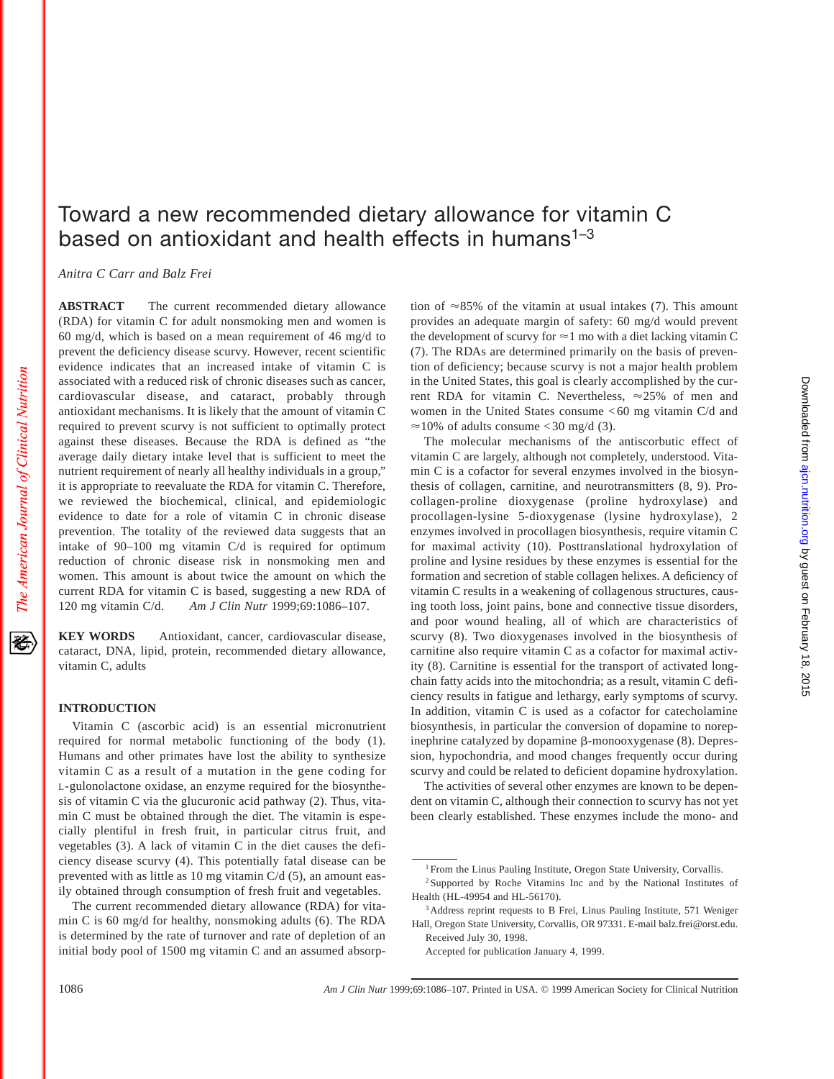袳

# Toward a new recommended dietary allowance for vitamin C based on antioxidant and health effects in humans<sup> $1-3$ </sup>

*Anitra C Carr and Balz Frei*

**ABSTRACT** The current recommended dietary allowance (RDA) for vitamin C for adult nonsmoking men and women is 60 mg/d, which is based on a mean requirement of 46 mg/d to prevent the deficiency disease scurvy. However, recent scientific evidence indicates that an increased intake of vitamin C is associated with a reduced risk of chronic diseases such as cancer, cardiovascular disease, and cataract, probably through antioxidant mechanisms. It is likely that the amount of vitamin C required to prevent scurvy is not sufficient to optimally protect against these diseases. Because the RDA is defined as "the average daily dietary intake level that is sufficient to meet the nutrient requirement of nearly all healthy individuals in a group," it is appropriate to reevaluate the RDA for vitamin C. Therefore, we reviewed the biochemical, clinical, and epidemiologic evidence to date for a role of vitamin C in chronic disease prevention. The totality of the reviewed data suggests that an intake of 90–100 mg vitamin C/d is required for optimum reduction of chronic disease risk in nonsmoking men and women. This amount is about twice the amount on which the current RDA for vitamin C is based, suggesting a new RDA of 120 mg vitamin C/d. *Am J Clin Nutr* 1999;69:1086–107.

**KEY WORDS** Antioxidant, cancer, cardiovascular disease, cataract, DNA, lipid, protein, recommended dietary allowance, vitamin C, adults

# **INTRODUCTION**

Vitamin C (ascorbic acid) is an essential micronutrient required for normal metabolic functioning of the body (1). Humans and other primates have lost the ability to synthesize vitamin C as a result of a mutation in the gene coding for L-gulonolactone oxidase, an enzyme required for the biosynthesis of vitamin C via the glucuronic acid pathway (2). Thus, vitamin C must be obtained through the diet. The vitamin is especially plentiful in fresh fruit, in particular citrus fruit, and vegetables (3). A lack of vitamin C in the diet causes the deficiency disease scurvy (4). This potentially fatal disease can be prevented with as little as 10 mg vitamin C/d (5), an amount easily obtained through consumption of fresh fruit and vegetables.

The current recommended dietary allowance (RDA) for vitamin C is 60 mg/d for healthy, nonsmoking adults (6). The RDA is determined by the rate of turnover and rate of depletion of an initial body pool of 1500 mg vitamin C and an assumed absorption of  $\approx 85\%$  of the vitamin at usual intakes (7). This amount provides an adequate margin of safety: 60 mg/d would prevent the development of scurvy for  $\approx$  1 mo with a diet lacking vitamin C (7). The RDAs are determined primarily on the basis of prevention of deficiency; because scurvy is not a major health problem in the United States, this goal is clearly accomplished by the current RDA for vitamin C. Nevertheless,  $\approx 25\%$  of men and women in the United States consume < 60 mg vitamin C/d and  $\approx$ 10% of adults consume < 30 mg/d (3).

The molecular mechanisms of the antiscorbutic effect of vitamin C are largely, although not completely, understood. Vitamin C is a cofactor for several enzymes involved in the biosynthesis of collagen, carnitine, and neurotransmitters (8, 9). Procollagen-proline dioxygenase (proline hydroxylase) and procollagen-lysine 5-dioxygenase (lysine hydroxylase), 2 enzymes involved in procollagen biosynthesis, require vitamin C for maximal activity (10). Posttranslational hydroxylation of proline and lysine residues by these enzymes is essential for the formation and secretion of stable collagen helixes. A deficiency of vitamin C results in a weakening of collagenous structures, causing tooth loss, joint pains, bone and connective tissue disorders, and poor wound healing, all of which are characteristics of scurvy (8). Two dioxygenases involved in the biosynthesis of carnitine also require vitamin C as a cofactor for maximal activity (8). Carnitine is essential for the transport of activated longchain fatty acids into the mitochondria; as a result, vitamin C deficiency results in fatigue and lethargy, early symptoms of scurvy. In addition, vitamin C is used as a cofactor for catecholamine biosynthesis, in particular the conversion of dopamine to norepinephrine catalyzed by dopamine  $\beta$ -monooxygenase (8). Depression, hypochondria, and mood changes frequently occur during scurvy and could be related to deficient dopamine hydroxylation.

The activities of several other enzymes are known to be dependent on vitamin C, although their connection to scurvy has not yet been clearly established. These enzymes include the mono- and

<sup>&</sup>lt;sup>1</sup> From the Linus Pauling Institute, Oregon State University, Corvallis.

<sup>2</sup> Supported by Roche Vitamins Inc and by the National Institutes of Health (HL-49954 and HL-56170).

<sup>&</sup>lt;sup>3</sup>Address reprint requests to B Frei, Linus Pauling Institute, 571 Weniger Hall, Oregon State University, Corvallis, OR 97331. E-mail balz.frei@orst.edu. Received July 30, 1998.

Accepted for publication January 4, 1999.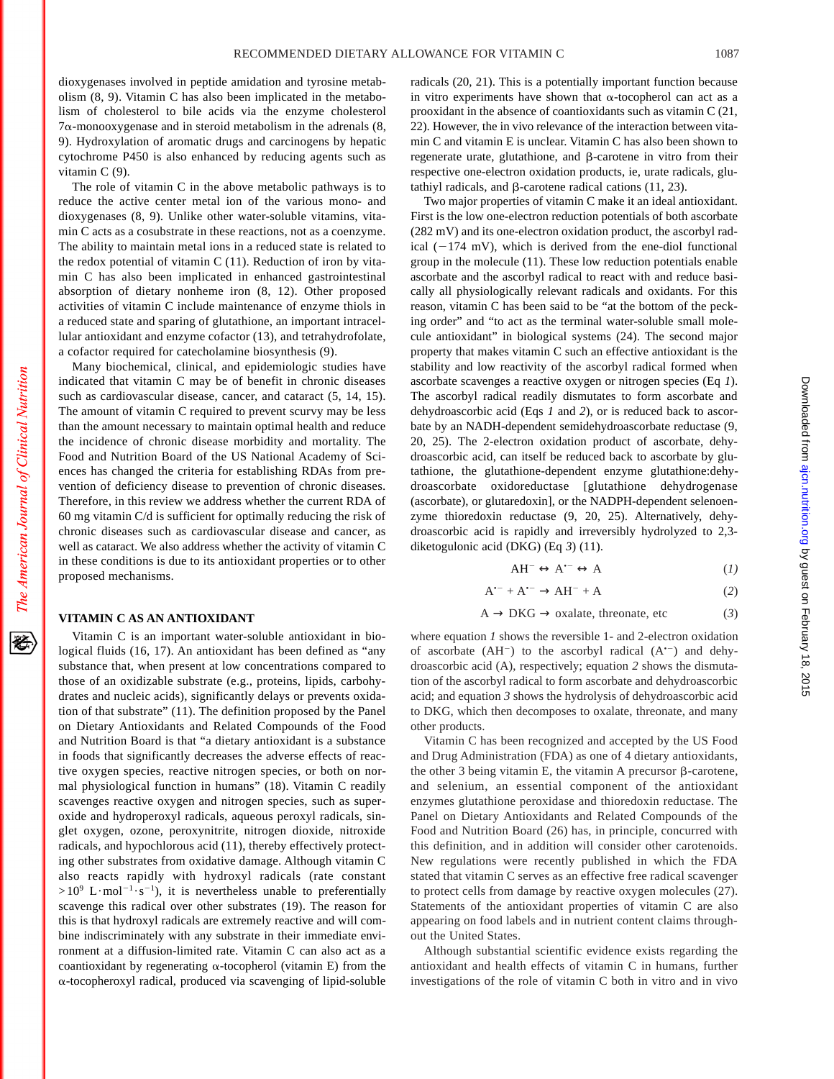dioxygenases involved in peptide amidation and tyrosine metabolism (8, 9). Vitamin C has also been implicated in the metabolism of cholesterol to bile acids via the enzyme cholesterol  $7\alpha$ -monooxygenase and in steroid metabolism in the adrenals  $(8, 1)$ 9). Hydroxylation of aromatic drugs and carcinogens by hepatic cytochrome P450 is also enhanced by reducing agents such as vitamin C (9).

The role of vitamin C in the above metabolic pathways is to reduce the active center metal ion of the various mono- and dioxygenases (8, 9). Unlike other water-soluble vitamins, vitamin C acts as a cosubstrate in these reactions, not as a coenzyme. The ability to maintain metal ions in a reduced state is related to the redox potential of vitamin  $C(11)$ . Reduction of iron by vitamin C has also been implicated in enhanced gastrointestinal absorption of dietary nonheme iron (8, 12). Other proposed activities of vitamin C include maintenance of enzyme thiols in a reduced state and sparing of glutathione, an important intracellular antioxidant and enzyme cofactor (13), and tetrahydrofolate, a cofactor required for catecholamine biosynthesis (9).

Many biochemical, clinical, and epidemiologic studies have indicated that vitamin C may be of benefit in chronic diseases such as cardiovascular disease, cancer, and cataract (5, 14, 15). The amount of vitamin C required to prevent scurvy may be less than the amount necessary to maintain optimal health and reduce the incidence of chronic disease morbidity and mortality. The Food and Nutrition Board of the US National Academy of Sciences has changed the criteria for establishing RDAs from prevention of deficiency disease to prevention of chronic diseases. Therefore, in this review we address whether the current RDA of 60 mg vitamin C/d is sufficient for optimally reducing the risk of chronic diseases such as cardiovascular disease and cancer, as well as cataract. We also address whether the activity of vitamin C in these conditions is due to its antioxidant properties or to other proposed mechanisms.

## **VITAMIN C AS AN ANTIOXIDANT**

The American Journal of Clinical Nutrition

经

Vitamin C is an important water-soluble antioxidant in biological fluids (16, 17). An antioxidant has been defined as "any substance that, when present at low concentrations compared to those of an oxidizable substrate (e.g., proteins, lipids, carbohydrates and nucleic acids), significantly delays or prevents oxidation of that substrate" (11). The definition proposed by the Panel on Dietary Antioxidants and Related Compounds of the Food and Nutrition Board is that "a dietary antioxidant is a substance in foods that significantly decreases the adverse effects of reactive oxygen species, reactive nitrogen species, or both on normal physiological function in humans" (18). Vitamin C readily scavenges reactive oxygen and nitrogen species, such as superoxide and hydroperoxyl radicals, aqueous peroxyl radicals, singlet oxygen, ozone, peroxynitrite, nitrogen dioxide, nitroxide radicals, and hypochlorous acid (11), thereby effectively protecting other substrates from oxidative damage. Although vitamin C also reacts rapidly with hydroxyl radicals (rate constant  $>10^9$  L·mol<sup>-1</sup>·s<sup>-1</sup>), it is nevertheless unable to preferentially scavenge this radical over other substrates (19). The reason for this is that hydroxyl radicals are extremely reactive and will combine indiscriminately with any substrate in their immediate environment at a diffusion-limited rate. Vitamin C can also act as a coantioxidant by regenerating  $\alpha$ -tocopherol (vitamin E) from the a-tocopheroxyl radical, produced via scavenging of lipid-soluble

radicals (20, 21). This is a potentially important function because in vitro experiments have shown that  $\alpha$ -tocopherol can act as a prooxidant in the absence of coantioxidants such as vitamin C (21, 22). However, the in vivo relevance of the interaction between vitamin C and vitamin E is unclear. Vitamin C has also been shown to regenerate urate, glutathione, and  $\beta$ -carotene in vitro from their respective one-electron oxidation products, ie, urate radicals, glutathiyl radicals, and  $\beta$ -carotene radical cations (11, 23).

Two major properties of vitamin C make it an ideal antioxidant. First is the low one-electron reduction potentials of both ascorbate (282 mV) and its one-electron oxidation product, the ascorbyl radical  $(-174 \text{ mV})$ , which is derived from the ene-diol functional group in the molecule (11). These low reduction potentials enable ascorbate and the ascorbyl radical to react with and reduce basically all physiologically relevant radicals and oxidants. For this reason, vitamin C has been said to be "at the bottom of the pecking order" and "to act as the terminal water-soluble small molecule antioxidant" in biological systems (24). The second major property that makes vitamin C such an effective antioxidant is the stability and low reactivity of the ascorbyl radical formed when ascorbate scavenges a reactive oxygen or nitrogen species (Eq *1*). The ascorbyl radical readily dismutates to form ascorbate and dehydroascorbic acid (Eqs *1* and *2*), or is reduced back to ascorbate by an NADH-dependent semidehydroascorbate reductase (9, 20, 25). The 2-electron oxidation product of ascorbate, dehydroascorbic acid, can itself be reduced back to ascorbate by glutathione, the glutathione-dependent enzyme glutathione:dehydroascorbate oxidoreductase [glutathione dehydrogenase (ascorbate), or glutaredoxin], or the NADPH-dependent selenoenzyme thioredoxin reductase (9, 20, 25). Alternatively, dehydroascorbic acid is rapidly and irreversibly hydrolyzed to 2,3 diketogulonic acid (DKG) (Eq *3*) (11).

$$
AH^{-} \leftrightarrow A^{\bullet -} \leftrightarrow A \tag{1}
$$

$$
A^{\bullet -} + A^{\bullet -} \to AH^- + A \tag{2}
$$

$$
A \to DKG \to \text{oxalate, the} (3)
$$

where equation *1* shows the reversible 1- and 2-electron oxidation of ascorbate  $(AH^{-})$  to the ascorbyl radical  $(A^{*-})$  and dehydroascorbic acid (A), respectively; equation *2* shows the dismutation of the ascorbyl radical to form ascorbate and dehydroascorbic acid; and equation *3* shows the hydrolysis of dehydroascorbic acid to DKG, which then decomposes to oxalate, threonate, and many other products.

Vitamin C has been recognized and accepted by the US Food and Drug Administration (FDA) as one of 4 dietary antioxidants, the other 3 being vitamin E, the vitamin A precursor  $\beta$ -carotene, and selenium, an essential component of the antioxidant enzymes glutathione peroxidase and thioredoxin reductase. The Panel on Dietary Antioxidants and Related Compounds of the Food and Nutrition Board (26) has, in principle, concurred with this definition, and in addition will consider other carotenoids. New regulations were recently published in which the FDA stated that vitamin C serves as an effective free radical scavenger to protect cells from damage by reactive oxygen molecules (27). Statements of the antioxidant properties of vitamin C are also appearing on food labels and in nutrient content claims throughout the United States.

Although substantial scientific evidence exists regarding the antioxidant and health effects of vitamin C in humans, further investigations of the role of vitamin C both in vitro and in vivo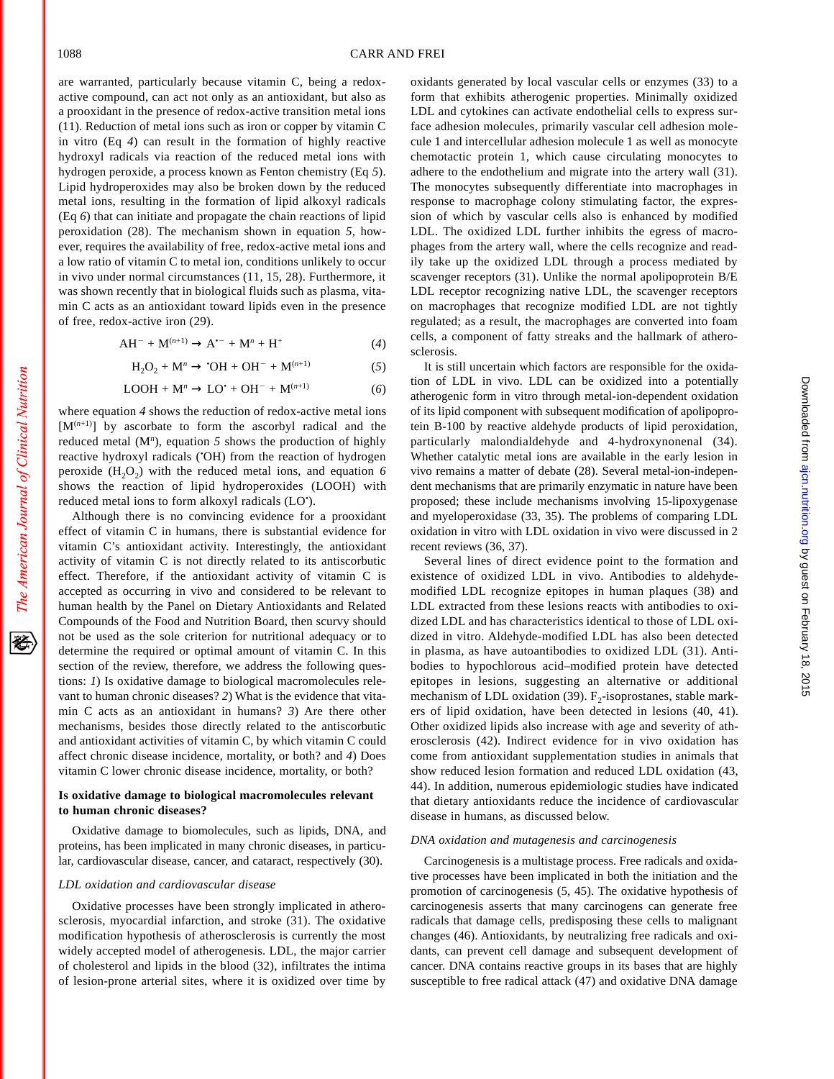are warranted, particularly because vitamin C, being a redoxactive compound, can act not only as an antioxidant, but also as a prooxidant in the presence of redox-active transition metal ions (11). Reduction of metal ions such as iron or copper by vitamin C in vitro (Eq *4*) can result in the formation of highly reactive hydroxyl radicals via reaction of the reduced metal ions with hydrogen peroxide, a process known as Fenton chemistry (Eq *5*). Lipid hydroperoxides may also be broken down by the reduced metal ions, resulting in the formation of lipid alkoxyl radicals (Eq *6*) that can initiate and propagate the chain reactions of lipid peroxidation (28). The mechanism shown in equation *5*, however, requires the availability of free, redox-active metal ions and a low ratio of vitamin C to metal ion, conditions unlikely to occur in vivo under normal circumstances (11, 15, 28). Furthermore, it was shown recently that in biological fluids such as plasma, vitamin C acts as an antioxidant toward lipids even in the presence of free, redox-active iron (29).

$$
AH^{-} + M^{(n+1)} \rightarrow A^{\bullet -} + M^{n} + H^{+}
$$
 (4)

$$
H_2O_2 + M^n \to \text{`OH} + OH^- + M^{(n+1)} \tag{5}
$$

$$
LOOH + Mn \rightarrow LO+ + OH- + M(n+1)
$$
 (6)

where equation *4* shows the reduction of redox-active metal ions  $[M<sup>(n+1)</sup>]$  by ascorbate to form the ascorbyl radical and the reduced metal (M*<sup>n</sup>* ), equation *5* shows the production of highly reactive hydroxyl radicals (• OH) from the reaction of hydrogen peroxide  $(H<sub>2</sub>O<sub>2</sub>)$  with the reduced metal ions, and equation 6 shows the reaction of lipid hydroperoxides (LOOH) with reduced metal ions to form alkoxyl radicals (LO• ).

Although there is no convincing evidence for a prooxidant effect of vitamin C in humans, there is substantial evidence for vitamin C's antioxidant activity. Interestingly, the antioxidant activity of vitamin C is not directly related to its antiscorbutic effect. Therefore, if the antioxidant activity of vitamin C is accepted as occurring in vivo and considered to be relevant to human health by the Panel on Dietary Antioxidants and Related Compounds of the Food and Nutrition Board, then scurvy should not be used as the sole criterion for nutritional adequacy or to determine the required or optimal amount of vitamin C. In this section of the review, therefore, we address the following questions: *1*) Is oxidative damage to biological macromolecules relevant to human chronic diseases? *2*) What is the evidence that vitamin C acts as an antioxidant in humans? *3*) Are there other mechanisms, besides those directly related to the antiscorbutic and antioxidant activities of vitamin C, by which vitamin C could affect chronic disease incidence, mortality, or both? and *4*) Does vitamin C lower chronic disease incidence, mortality, or both?

# **Is oxidative damage to biological macromolecules relevant to human chronic diseases?**

Oxidative damage to biomolecules, such as lipids, DNA, and proteins, has been implicated in many chronic diseases, in particular, cardiovascular disease, cancer, and cataract, respectively (30).

#### *LDL oxidation and cardiovascular disease*

Oxidative processes have been strongly implicated in atherosclerosis, myocardial infarction, and stroke (31). The oxidative modification hypothesis of atherosclerosis is currently the most widely accepted model of atherogenesis. LDL, the major carrier of cholesterol and lipids in the blood (32), infiltrates the intima of lesion-prone arterial sites, where it is oxidized over time by oxidants generated by local vascular cells or enzymes (33) to a form that exhibits atherogenic properties. Minimally oxidized LDL and cytokines can activate endothelial cells to express surface adhesion molecules, primarily vascular cell adhesion molecule 1 and intercellular adhesion molecule 1 as well as monocyte chemotactic protein 1, which cause circulating monocytes to adhere to the endothelium and migrate into the artery wall (31). The monocytes subsequently differentiate into macrophages in response to macrophage colony stimulating factor, the expression of which by vascular cells also is enhanced by modified LDL. The oxidized LDL further inhibits the egress of macrophages from the artery wall, where the cells recognize and readily take up the oxidized LDL through a process mediated by scavenger receptors (31). Unlike the normal apolipoprotein B/E LDL receptor recognizing native LDL, the scavenger receptors on macrophages that recognize modified LDL are not tightly regulated; as a result, the macrophages are converted into foam cells, a component of fatty streaks and the hallmark of atherosclerosis.

It is still uncertain which factors are responsible for the oxidation of LDL in vivo. LDL can be oxidized into a potentially atherogenic form in vitro through metal-ion-dependent oxidation of its lipid component with subsequent modification of apolipoprotein B-100 by reactive aldehyde products of lipid peroxidation, particularly malondialdehyde and 4-hydroxynonenal (34). Whether catalytic metal ions are available in the early lesion in vivo remains a matter of debate (28). Several metal-ion-independent mechanisms that are primarily enzymatic in nature have been proposed; these include mechanisms involving 15-lipoxygenase and myeloperoxidase (33, 35). The problems of comparing LDL oxidation in vitro with LDL oxidation in vivo were discussed in 2 recent reviews (36, 37).

Several lines of direct evidence point to the formation and existence of oxidized LDL in vivo. Antibodies to aldehydemodified LDL recognize epitopes in human plaques (38) and LDL extracted from these lesions reacts with antibodies to oxidized LDL and has characteristics identical to those of LDL oxidized in vitro. Aldehyde-modified LDL has also been detected in plasma, as have autoantibodies to oxidized LDL (31). Antibodies to hypochlorous acid–modified protein have detected epitopes in lesions, suggesting an alternative or additional mechanism of LDL oxidation (39).  $F_2$ -isoprostanes, stable markers of lipid oxidation, have been detected in lesions (40, 41). Other oxidized lipids also increase with age and severity of atherosclerosis (42). Indirect evidence for in vivo oxidation has come from antioxidant supplementation studies in animals that show reduced lesion formation and reduced LDL oxidation (43, 44). In addition, numerous epidemiologic studies have indicated that dietary antioxidants reduce the incidence of cardiovascular disease in humans, as discussed below.

#### *DNA oxidation and mutagenesis and carcinogenesis*

Carcinogenesis is a multistage process. Free radicals and oxidative processes have been implicated in both the initiation and the promotion of carcinogenesis (5, 45). The oxidative hypothesis of carcinogenesis asserts that many carcinogens can generate free radicals that damage cells, predisposing these cells to malignant changes (46). Antioxidants, by neutralizing free radicals and oxidants, can prevent cell damage and subsequent development of cancer. DNA contains reactive groups in its bases that are highly susceptible to free radical attack (47) and oxidative DNA damage

The American Journal of Clinical Nutrition

移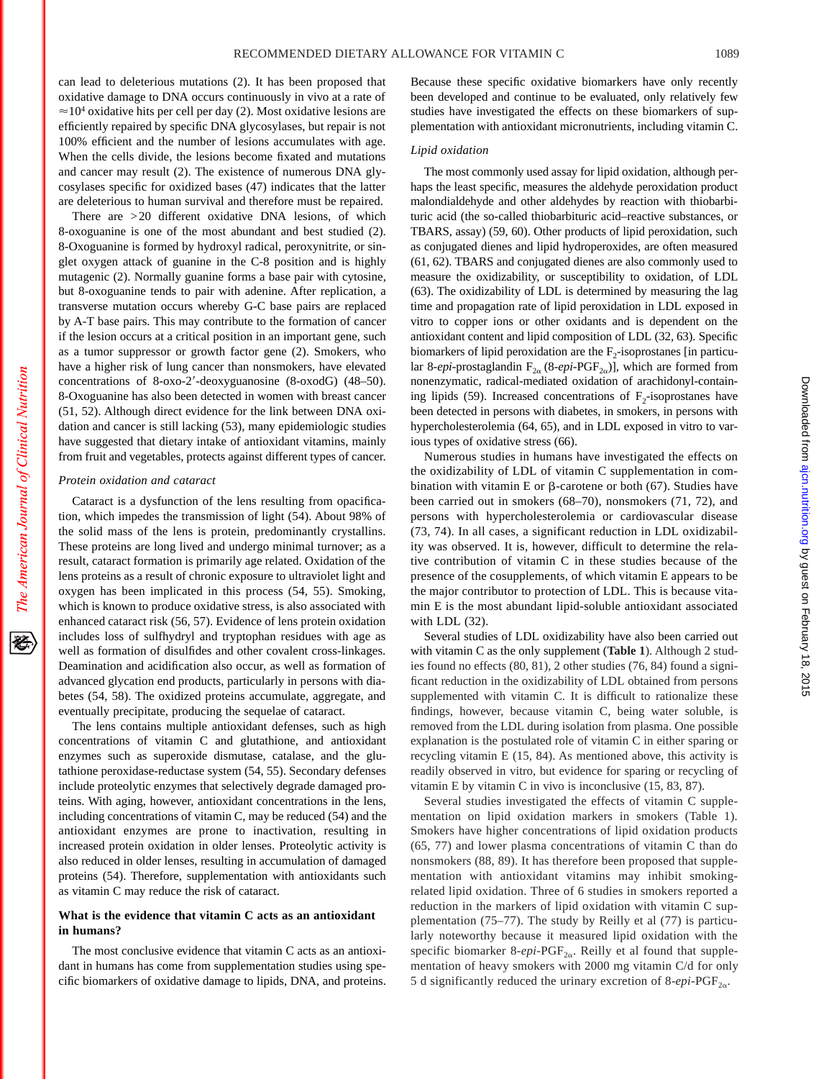can lead to deleterious mutations (2). It has been proposed that oxidative damage to DNA occurs continuously in vivo at a rate of  $\approx$ 10<sup>4</sup> oxidative hits per cell per day (2). Most oxidative lesions are efficiently repaired by specific DNA glycosylases, but repair is not 100% efficient and the number of lesions accumulates with age. When the cells divide, the lesions become fixated and mutations and cancer may result (2). The existence of numerous DNA glycosylases specific for oxidized bases (47) indicates that the latter are deleterious to human survival and therefore must be repaired.

There are >20 different oxidative DNA lesions, of which 8-oxoguanine is one of the most abundant and best studied (2). 8-Oxoguanine is formed by hydroxyl radical, peroxynitrite, or singlet oxygen attack of guanine in the C-8 position and is highly mutagenic (2). Normally guanine forms a base pair with cytosine, but 8-oxoguanine tends to pair with adenine. After replication, a transverse mutation occurs whereby G-C base pairs are replaced by A-T base pairs. This may contribute to the formation of cancer if the lesion occurs at a critical position in an important gene, such as a tumor suppressor or growth factor gene (2). Smokers, who have a higher risk of lung cancer than nonsmokers, have elevated concentrations of 8-oxo-2'-deoxyguanosine  $(8-oxodG)$   $(48-50)$ . 8-Oxoguanine has also been detected in women with breast cancer (51, 52). Although direct evidence for the link between DNA oxidation and cancer is still lacking (53), many epidemiologic studies have suggested that dietary intake of antioxidant vitamins, mainly from fruit and vegetables, protects against different types of cancer.

#### *Protein oxidation and cataract*

Cataract is a dysfunction of the lens resulting from opacification, which impedes the transmission of light (54). About 98% of the solid mass of the lens is protein, predominantly crystallins. These proteins are long lived and undergo minimal turnover; as a result, cataract formation is primarily age related. Oxidation of the lens proteins as a result of chronic exposure to ultraviolet light and oxygen has been implicated in this process (54, 55). Smoking, which is known to produce oxidative stress, is also associated with enhanced cataract risk (56, 57). Evidence of lens protein oxidation includes loss of sulfhydryl and tryptophan residues with age as well as formation of disulfides and other covalent cross-linkages. Deamination and acidification also occur, as well as formation of advanced glycation end products, particularly in persons with diabetes (54, 58). The oxidized proteins accumulate, aggregate, and eventually precipitate, producing the sequelae of cataract.

The lens contains multiple antioxidant defenses, such as high concentrations of vitamin C and glutathione, and antioxidant enzymes such as superoxide dismutase, catalase, and the glutathione peroxidase-reductase system (54, 55). Secondary defenses include proteolytic enzymes that selectively degrade damaged proteins. With aging, however, antioxidant concentrations in the lens, including concentrations of vitamin C, may be reduced (54) and the antioxidant enzymes are prone to inactivation, resulting in increased protein oxidation in older lenses. Proteolytic activity is also reduced in older lenses, resulting in accumulation of damaged proteins (54). Therefore, supplementation with antioxidants such as vitamin C may reduce the risk of cataract.

# **What is the evidence that vitamin C acts as an antioxidant in humans?**

The most conclusive evidence that vitamin C acts as an antioxidant in humans has come from supplementation studies using specific biomarkers of oxidative damage to lipids, DNA, and proteins.

Because these specific oxidative biomarkers have only recently been developed and continue to be evaluated, only relatively few studies have investigated the effects on these biomarkers of supplementation with antioxidant micronutrients, including vitamin C.

# *Lipid oxidation*

The most commonly used assay for lipid oxidation, although perhaps the least specific, measures the aldehyde peroxidation product malondialdehyde and other aldehydes by reaction with thiobarbituric acid (the so-called thiobarbituric acid–reactive substances, or TBARS, assay) (59, 60). Other products of lipid peroxidation, such as conjugated dienes and lipid hydroperoxides, are often measured (61, 62). TBARS and conjugated dienes are also commonly used to measure the oxidizability, or susceptibility to oxidation, of LDL (63). The oxidizability of LDL is determined by measuring the lag time and propagation rate of lipid peroxidation in LDL exposed in vitro to copper ions or other oxidants and is dependent on the antioxidant content and lipid composition of LDL (32, 63). Specific biomarkers of lipid peroxidation are the  $F<sub>2</sub>$ -isoprostanes [in particular 8-*epi*-prostaglandin  $F_{2\alpha}$  (8-*epi*-PGF<sub>2 $\alpha$ </sub>)], which are formed from nonenzymatic, radical-mediated oxidation of arachidonyl-containing lipids (59). Increased concentrations of  $F_2$ -isoprostanes have been detected in persons with diabetes, in smokers, in persons with hypercholesterolemia (64, 65), and in LDL exposed in vitro to various types of oxidative stress (66).

Numerous studies in humans have investigated the effects on the oxidizability of LDL of vitamin C supplementation in combination with vitamin E or  $\beta$ -carotene or both (67). Studies have been carried out in smokers (68–70), nonsmokers (71, 72), and persons with hypercholesterolemia or cardiovascular disease (73, 74). In all cases, a significant reduction in LDL oxidizability was observed. It is, however, difficult to determine the relative contribution of vitamin C in these studies because of the presence of the cosupplements, of which vitamin E appears to be the major contributor to protection of LDL. This is because vitamin E is the most abundant lipid-soluble antioxidant associated with LDL (32).

Several studies of LDL oxidizability have also been carried out with vitamin C as the only supplement (**Table 1**). Although 2 studies found no effects (80, 81), 2 other studies (76, 84) found a significant reduction in the oxidizability of LDL obtained from persons supplemented with vitamin C. It is difficult to rationalize these findings, however, because vitamin C, being water soluble, is removed from the LDL during isolation from plasma. One possible explanation is the postulated role of vitamin C in either sparing or recycling vitamin E (15, 84). As mentioned above, this activity is readily observed in vitro, but evidence for sparing or recycling of vitamin E by vitamin C in vivo is inconclusive (15, 83, 87).

Several studies investigated the effects of vitamin C supplementation on lipid oxidation markers in smokers (Table 1). Smokers have higher concentrations of lipid oxidation products (65, 77) and lower plasma concentrations of vitamin C than do nonsmokers (88, 89). It has therefore been proposed that supplementation with antioxidant vitamins may inhibit smokingrelated lipid oxidation. Three of 6 studies in smokers reported a reduction in the markers of lipid oxidation with vitamin C supplementation (75–77). The study by Reilly et al (77) is particularly noteworthy because it measured lipid oxidation with the specific biomarker  $8$ -epi-PGF<sub>2 $\alpha$ </sub>. Reilly et al found that supplementation of heavy smokers with 2000 mg vitamin C/d for only 5 d significantly reduced the urinary excretion of  $8$ -epi-PGF<sub>2 $\alpha$ </sub>.

移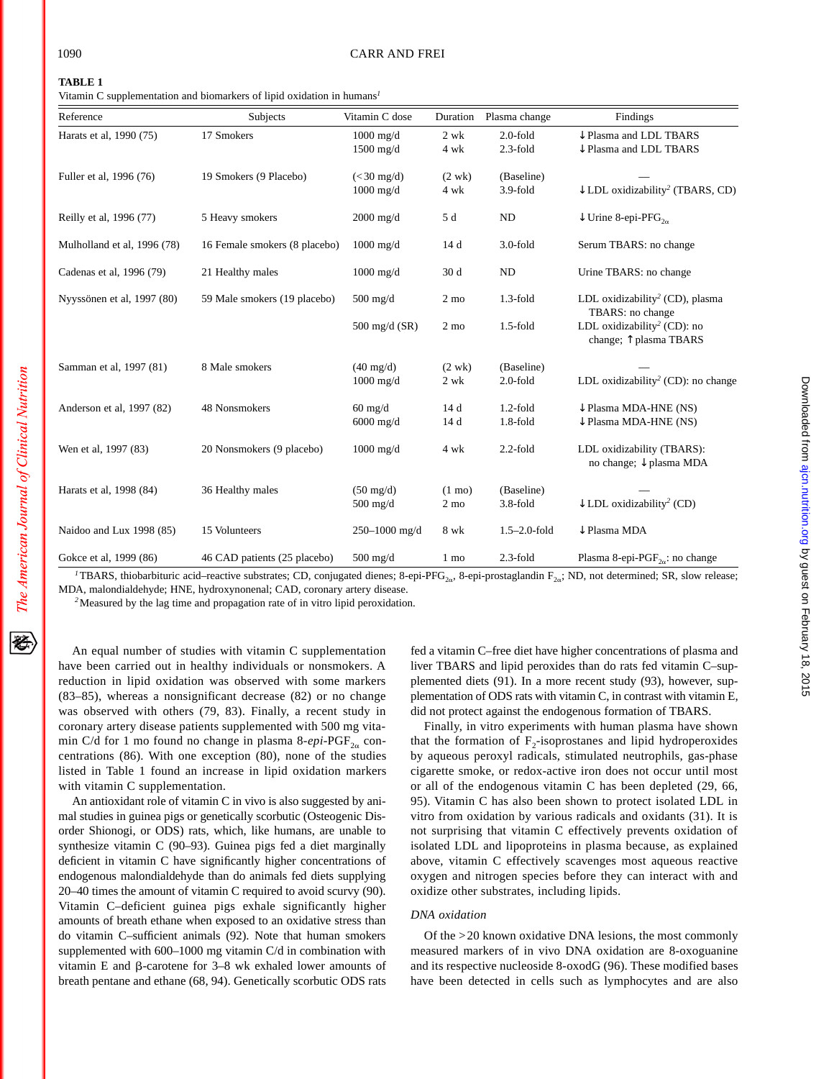石

Vitamin C supplementation and biomarkers of lipid oxidation in humans*<sup>1</sup>*

| Reference                   | Subjects                      | Vitamin C dose                     | Duration                           | Plasma change              | Findings                                                                   |
|-----------------------------|-------------------------------|------------------------------------|------------------------------------|----------------------------|----------------------------------------------------------------------------|
| Harats et al, 1990 (75)     | 17 Smokers                    | $1000$ mg/d<br>$1500$ mg/d         | 2 wk<br>4 wk                       | $2.0$ -fold<br>$2.3$ -fold | $\downarrow$ Plasma and LDL TBARS<br>$\downarrow$ Plasma and LDL TBARS     |
| Fuller et al, 1996 (76)     | 19 Smokers (9 Placebo)        | $(30 \text{ mg/d})1000 mg/d$       | $(2 \text{ wk})$<br>4 wk           | (Baseline)<br>$3.9-fold$   | $\downarrow$ LDL oxidizability <sup>2</sup> (TBARS, CD)                    |
| Reilly et al, 1996 (77)     | 5 Heavy smokers               | $2000$ mg/d                        | 5 d                                | ND                         | $\downarrow$ Urine 8-epi-PFG <sub>20</sub>                                 |
| Mulholland et al, 1996 (78) | 16 Female smokers (8 placebo) | $1000$ mg/d                        | 14 d                               | $3.0$ -fold                | Serum TBARS: no change                                                     |
| Cadenas et al, 1996 (79)    | 21 Healthy males              | $1000$ mg/d                        | 30 d                               | ND                         | Urine TBARS: no change                                                     |
| Nyyssönen et al, 1997 (80)  | 59 Male smokers (19 placebo)  | $500$ mg/d                         | $2 \text{ mo}$                     | $1.3$ -fold                | LDL oxidizability <sup>2</sup> (CD), plasma<br>TBARS: no change            |
|                             |                               | $500 \text{ mg/d}$ (SR)            | $2 \text{ mo}$                     | $1.5$ -fold                | LDL oxidizability <sup>2</sup> (CD): no<br>change; $\uparrow$ plasma TBARS |
| Samman et al, 1997 (81)     | 8 Male smokers                | $(40 \text{ mg/d})$<br>$1000$ mg/d | $(2 \text{ wk})$<br>2 wk           | (Baseline)<br>$2.0$ -fold  | LDL oxidizability <sup>2</sup> (CD): no change                             |
| Anderson et al, 1997 (82)   | 48 Nonsmokers                 | $60$ mg/d<br>$6000$ mg/d           | 14 d<br>14 d                       | $1.2$ -fold<br>$1.8$ -fold | $\downarrow$ Plasma MDA-HNE (NS)<br>$\downarrow$ Plasma MDA-HNE (NS)       |
| Wen et al, 1997 (83)        | 20 Nonsmokers (9 placebo)     | $1000$ mg/d                        | 4 wk                               | $2.2$ -fold                | LDL oxidizability (TBARS):<br>no change; ↓ plasma MDA                      |
| Harats et al, 1998 (84)     | 36 Healthy males              | $(50 \text{ mg/d})$<br>$500$ mg/d  | $(1 \text{ mo})$<br>$2 \text{ mo}$ | (Baseline)<br>$3.8-fold$   | $\downarrow$ LDL oxidizability <sup>2</sup> (CD)                           |
| Naidoo and Lux 1998 (85)    | 15 Volunteers                 | 250-1000 mg/d                      | 8 wk                               | $1.5 - 2.0$ -fold          | $\downarrow$ Plasma MDA                                                    |
| Gokce et al, 1999 (86)      | 46 CAD patients (25 placebo)  | $500$ mg/d                         | 1 mo                               | $2.3$ -fold                | Plasma 8-epi-PGF <sub>2a</sub> : no change                                 |

TBARS, thiobarbituric acid–reactive substrates; CD, conjugated dienes; 8-epi-PFG<sub>2a</sub>, 8-epi-prostaglandin  $F_{2\alpha}$ ; ND, not determined; SR, slow release; MDA, malondialdehyde; HNE, hydroxynonenal; CAD, coronary artery disease.

*<sup>2</sup>*Measured by the lag time and propagation rate of in vitro lipid peroxidation.

An equal number of studies with vitamin C supplementation have been carried out in healthy individuals or nonsmokers. A reduction in lipid oxidation was observed with some markers (83–85), whereas a nonsignificant decrease (82) or no change was observed with others (79, 83). Finally, a recent study in coronary artery disease patients supplemented with 500 mg vitamin C/d for 1 mo found no change in plasma 8- $epi$ -PGF<sub>2a</sub> concentrations (86). With one exception (80), none of the studies listed in Table 1 found an increase in lipid oxidation markers with vitamin C supplementation.

An antioxidant role of vitamin C in vivo is also suggested by animal studies in guinea pigs or genetically scorbutic (Osteogenic Disorder Shionogi, or ODS) rats, which, like humans, are unable to synthesize vitamin C (90–93). Guinea pigs fed a diet marginally deficient in vitamin C have significantly higher concentrations of endogenous malondialdehyde than do animals fed diets supplying 20–40 times the amount of vitamin C required to avoid scurvy (90). Vitamin C–deficient guinea pigs exhale significantly higher amounts of breath ethane when exposed to an oxidative stress than do vitamin C–sufficient animals (92). Note that human smokers supplemented with 600–1000 mg vitamin C/d in combination with vitamin E and  $\beta$ -carotene for 3–8 wk exhaled lower amounts of breath pentane and ethane (68, 94). Genetically scorbutic ODS rats

fed a vitamin C–free diet have higher concentrations of plasma and liver TBARS and lipid peroxides than do rats fed vitamin C–supplemented diets (91). In a more recent study (93), however, supplementation of ODS rats with vitamin C, in contrast with vitamin E, did not protect against the endogenous formation of TBARS.

Finally, in vitro experiments with human plasma have shown that the formation of  $F_2$ -isoprostanes and lipid hydroperoxides by aqueous peroxyl radicals, stimulated neutrophils, gas-phase cigarette smoke, or redox-active iron does not occur until most or all of the endogenous vitamin C has been depleted (29, 66, 95). Vitamin C has also been shown to protect isolated LDL in vitro from oxidation by various radicals and oxidants (31). It is not surprising that vitamin C effectively prevents oxidation of isolated LDL and lipoproteins in plasma because, as explained above, vitamin C effectively scavenges most aqueous reactive oxygen and nitrogen species before they can interact with and oxidize other substrates, including lipids.

# *DNA oxidation*

Of the >20 known oxidative DNA lesions, the most commonly measured markers of in vivo DNA oxidation are 8-oxoguanine and its respective nucleoside 8-oxodG (96). These modified bases have been detected in cells such as lymphocytes and are also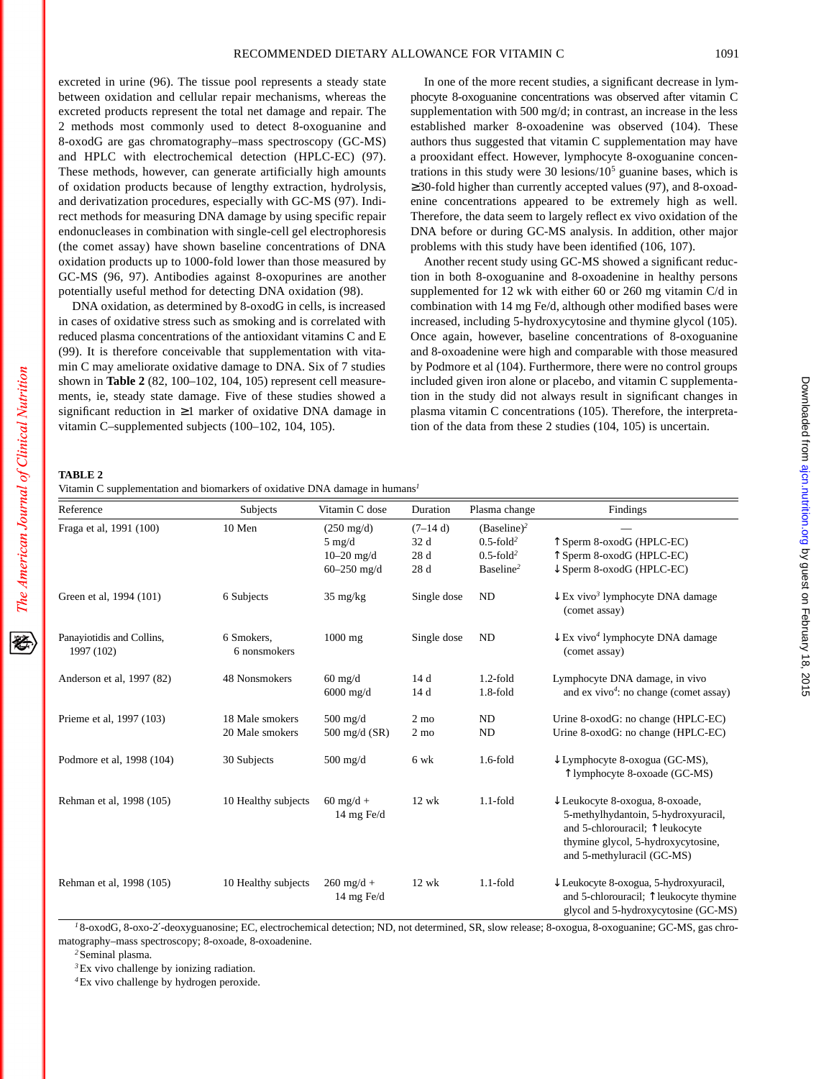Downloaded from [ajcn.nutrition.org](http://ajcn.nutrition.org/) by guest on February 18, 2015

Downloaded from ajon.nutrition.org by guest on February 18, 2015

excreted in urine (96). The tissue pool represents a steady state between oxidation and cellular repair mechanisms, whereas the excreted products represent the total net damage and repair. The 2 methods most commonly used to detect 8-oxoguanine and 8-oxodG are gas chromatography–mass spectroscopy (GC-MS) and HPLC with electrochemical detection (HPLC-EC) (97). These methods, however, can generate artificially high amounts of oxidation products because of lengthy extraction, hydrolysis, and derivatization procedures, especially with GC-MS (97). Indirect methods for measuring DNA damage by using specific repair endonucleases in combination with single-cell gel electrophoresis (the comet assay) have shown baseline concentrations of DNA oxidation products up to 1000-fold lower than those measured by GC-MS (96, 97). Antibodies against 8-oxopurines are another potentially useful method for detecting DNA oxidation (98).

DNA oxidation, as determined by 8-oxodG in cells, is increased in cases of oxidative stress such as smoking and is correlated with reduced plasma concentrations of the antioxidant vitamins C and E (99). It is therefore conceivable that supplementation with vitamin C may ameliorate oxidative damage to DNA. Six of 7 studies shown in **Table 2** (82, 100–102, 104, 105) represent cell measurements, ie, steady state damage. Five of these studies showed a significant reduction in ≥1 marker of oxidative DNA damage in vitamin C–supplemented subjects (100–102, 104, 105).

In one of the more recent studies, a significant decrease in lymphocyte 8-oxoguanine concentrations was observed after vitamin C supplementation with 500 mg/d; in contrast, an increase in the less established marker 8-oxoadenine was observed (104). These authors thus suggested that vitamin C supplementation may have a prooxidant effect. However, lymphocyte 8-oxoguanine concentrations in this study were  $30 \text{ lesions}/10^5 \text{ guanine bases}$ , which is ≥30-fold higher than currently accepted values (97), and 8-oxoadenine concentrations appeared to be extremely high as well. Therefore, the data seem to largely reflect ex vivo oxidation of the DNA before or during GC-MS analysis. In addition, other major problems with this study have been identified (106, 107).

Another recent study using GC-MS showed a significant reduction in both 8-oxoguanine and 8-oxoadenine in healthy persons supplemented for 12 wk with either 60 or 260 mg vitamin C/d in combination with 14 mg Fe/d, although other modified bases were increased, including 5-hydroxycytosine and thymine glycol (105). Once again, however, baseline concentrations of 8-oxoguanine and 8-oxoadenine were high and comparable with those measured by Podmore et al (104). Furthermore, there were no control groups included given iron alone or placebo, and vitamin C supplementation in the study did not always result in significant changes in plasma vitamin C concentrations (105). Therefore, the interpretation of the data from these 2 studies (104, 105) is uncertain.

#### **TABLE 2**

|  | Vitamin C supplementation and biomarkers of oxidative DNA damage in humans <sup>1</sup> |  |  |  |  |  |
|--|-----------------------------------------------------------------------------------------|--|--|--|--|--|
|--|-----------------------------------------------------------------------------------------|--|--|--|--|--|

| Reference                               | Subjects                           | Vitamin C dose                                             | Duration                         | Plasma change                                                          | Findings                                                                                                                                                                                          |
|-----------------------------------------|------------------------------------|------------------------------------------------------------|----------------------------------|------------------------------------------------------------------------|---------------------------------------------------------------------------------------------------------------------------------------------------------------------------------------------------|
| Fraga et al, 1991 (100)                 | 10 Men                             | $(250 \text{ mg/d})$<br>$5 \text{ mg/d}$<br>$10 - 20$ mg/d | $(7-14d)$<br>32 d<br>28 d        | $(Baseline)^2$<br>$0.5$ -fold <sup>2</sup><br>$0.5$ -fold <sup>2</sup> | T Sperm 8-oxodG (HPLC-EC)<br>$\uparrow$ Sperm 8-oxodG (HPLC-EC)                                                                                                                                   |
|                                         |                                    | $60 - 250$ mg/d                                            | 28 d                             | Baseline <sup>2</sup>                                                  | $\downarrow$ Sperm 8-oxodG (HPLC-EC)                                                                                                                                                              |
| Green et al, 1994 (101)                 | 6 Subjects                         | $35 \text{ mg/kg}$                                         | Single dose                      | ND                                                                     | $\downarrow$ Ex vivo <sup>3</sup> lymphocyte DNA damage<br>(comet assay)                                                                                                                          |
| Panayiotidis and Collins,<br>1997 (102) | 6 Smokers,<br>6 nonsmokers         | $1000$ mg                                                  | Single dose                      | ND                                                                     | $\downarrow$ Ex vivo <sup>4</sup> lymphocyte DNA damage<br>(comet assay)                                                                                                                          |
| Anderson et al, 1997 (82)               | 48 Nonsmokers                      | $60 \text{ mg/d}$<br>$6000$ mg/d                           | 14d<br>14 d                      | $1.2$ -fold<br>$1.8$ -fold                                             | Lymphocyte DNA damage, in vivo<br>and $ex$ vivo <sup>4</sup> : no change (comet assay)                                                                                                            |
| Prieme et al, 1997 (103)                | 18 Male smokers<br>20 Male smokers | $500$ mg/d<br>500 mg/d $(SR)$                              | $2 \text{ mo}$<br>$2 \text{ mo}$ | ND<br>ND                                                               | Urine 8-oxodG: no change (HPLC-EC)<br>Urine 8-oxodG: no change (HPLC-EC)                                                                                                                          |
| Podmore et al, 1998 (104)               | 30 Subjects                        | $500$ mg/d                                                 | 6 wk                             | $1.6$ -fold                                                            | $\downarrow$ Lymphocyte 8-oxogua (GC-MS),<br>T lymphocyte 8-oxoade (GC-MS)                                                                                                                        |
| Rehman et al, 1998 (105)                | 10 Healthy subjects                | $60$ mg/d +<br>14 mg Fe/d                                  | $12$ wk                          | $1.1$ -fold                                                            | $\downarrow$ Leukocyte 8-oxogua, 8-oxoade,<br>5-methylhydantoin, 5-hydroxyuracil,<br>and 5-chlorouracil; $\uparrow$ leukocyte<br>thymine glycol, 5-hydroxycytosine,<br>and 5-methyluracil (GC-MS) |
| Rehman et al, 1998 (105)                | 10 Healthy subjects                | $260 \text{ mg/d} +$<br>14 mg Fe/d                         | $12$ wk                          | $1.1$ -fold                                                            | ↓ Leukocyte 8-oxogua, 5-hydroxyuracil,<br>and 5-chlorouracil; $\uparrow$ leukocyte thymine<br>glycol and 5-hydroxycytosine (GC-MS)                                                                |

*<sup>1</sup>* 8-oxodG, 8-oxo-2′-deoxyguanosine; EC, electrochemical detection; ND, not determined, SR, slow release; 8-oxogua, 8-oxoguanine; GC-MS, gas chromatography–mass spectroscopy; 8-oxoade, 8-oxoadenine.

*<sup>2</sup>*Seminal plasma.

*<sup>3</sup>*Ex vivo challenge by ionizing radiation.

*<sup>4</sup>*Ex vivo challenge by hydrogen peroxide.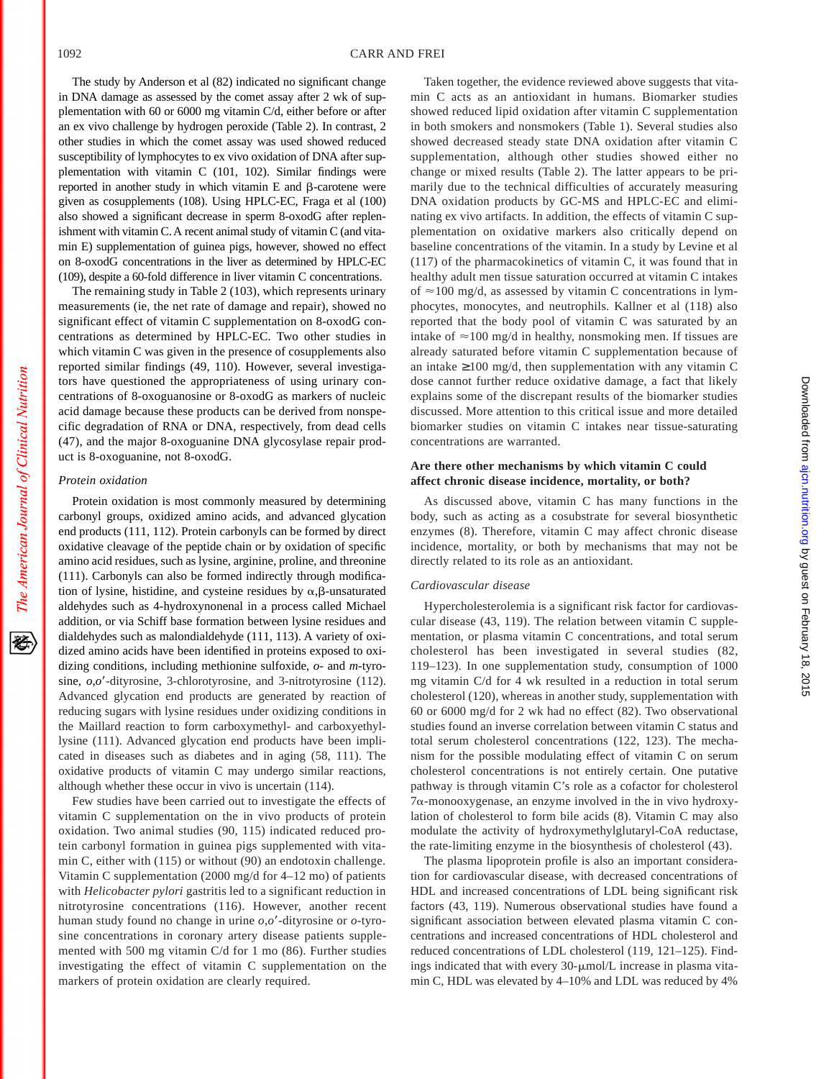The study by Anderson et al (82) indicated no significant change in DNA damage as assessed by the comet assay after 2 wk of supplementation with 60 or 6000 mg vitamin C/d, either before or after an ex vivo challenge by hydrogen peroxide (Table 2). In contrast, 2 other studies in which the comet assay was used showed reduced susceptibility of lymphocytes to ex vivo oxidation of DNA after supplementation with vitamin C (101, 102). Similar findings were reported in another study in which vitamin  $E$  and  $\beta$ -carotene were given as cosupplements (108). Using HPLC-EC, Fraga et al (100) also showed a significant decrease in sperm 8-oxodG after replenishment with vitamin C. A recent animal study of vitamin C (and vitamin E) supplementation of guinea pigs, however, showed no effect on 8-oxodG concentrations in the liver as determined by HPLC-EC (109), despite a 60-fold difference in liver vitamin C concentrations.

The remaining study in Table 2 (103), which represents urinary measurements (ie, the net rate of damage and repair), showed no significant effect of vitamin C supplementation on 8-oxodG concentrations as determined by HPLC-EC. Two other studies in which vitamin C was given in the presence of cosupplements also reported similar findings (49, 110). However, several investigators have questioned the appropriateness of using urinary concentrations of 8-oxoguanosine or 8-oxodG as markers of nucleic acid damage because these products can be derived from nonspecific degradation of RNA or DNA, respectively, from dead cells (47), and the major 8-oxoguanine DNA glycosylase repair product is 8-oxoguanine, not 8-oxodG.

#### *Protein oxidation*

Protein oxidation is most commonly measured by determining carbonyl groups, oxidized amino acids, and advanced glycation end products (111, 112). Protein carbonyls can be formed by direct oxidative cleavage of the peptide chain or by oxidation of specific amino acid residues, such as lysine, arginine, proline, and threonine (111). Carbonyls can also be formed indirectly through modification of lysine, histidine, and cysteine residues by  $\alpha$ , $\beta$ -unsaturated aldehydes such as 4-hydroxynonenal in a process called Michael addition, or via Schiff base formation between lysine residues and dialdehydes such as malondialdehyde (111, 113). A variety of oxidized amino acids have been identified in proteins exposed to oxidizing conditions, including methionine sulfoxide, *o*- and *m*-tyrosine,  $o,o'$ -dityrosine, 3-chlorotyrosine, and 3-nitrotyrosine (112). Advanced glycation end products are generated by reaction of reducing sugars with lysine residues under oxidizing conditions in the Maillard reaction to form carboxymethyl- and carboxyethyllysine (111). Advanced glycation end products have been implicated in diseases such as diabetes and in aging (58, 111). The oxidative products of vitamin C may undergo similar reactions, although whether these occur in vivo is uncertain (114).

Few studies have been carried out to investigate the effects of vitamin C supplementation on the in vivo products of protein oxidation. Two animal studies (90, 115) indicated reduced protein carbonyl formation in guinea pigs supplemented with vitamin C, either with (115) or without (90) an endotoxin challenge. Vitamin C supplementation (2000 mg/d for 4–12 mo) of patients with *Helicobacter pylori* gastritis led to a significant reduction in nitrotyrosine concentrations (116). However, another recent human study found no change in urine  $o, o'$ -dityrosine or  $o$ -tyrosine concentrations in coronary artery disease patients supplemented with 500 mg vitamin C/d for 1 mo (86). Further studies investigating the effect of vitamin C supplementation on the markers of protein oxidation are clearly required.

Taken together, the evidence reviewed above suggests that vitamin C acts as an antioxidant in humans. Biomarker studies showed reduced lipid oxidation after vitamin C supplementation in both smokers and nonsmokers (Table 1). Several studies also showed decreased steady state DNA oxidation after vitamin C supplementation, although other studies showed either no change or mixed results (Table 2). The latter appears to be primarily due to the technical difficulties of accurately measuring DNA oxidation products by GC-MS and HPLC-EC and eliminating ex vivo artifacts. In addition, the effects of vitamin C supplementation on oxidative markers also critically depend on baseline concentrations of the vitamin. In a study by Levine et al (117) of the pharmacokinetics of vitamin C, it was found that in healthy adult men tissue saturation occurred at vitamin C intakes of  $\approx$ 100 mg/d, as assessed by vitamin C concentrations in lymphocytes, monocytes, and neutrophils. Kallner et al (118) also reported that the body pool of vitamin C was saturated by an intake of  $\approx$ 100 mg/d in healthy, nonsmoking men. If tissues are already saturated before vitamin C supplementation because of an intake  $\geq 100$  mg/d, then supplementation with any vitamin C dose cannot further reduce oxidative damage, a fact that likely explains some of the discrepant results of the biomarker studies discussed. More attention to this critical issue and more detailed biomarker studies on vitamin C intakes near tissue-saturating concentrations are warranted.

# **Are there other mechanisms by which vitamin C could affect chronic disease incidence, mortality, or both?**

As discussed above, vitamin C has many functions in the body, such as acting as a cosubstrate for several biosynthetic enzymes (8). Therefore, vitamin C may affect chronic disease incidence, mortality, or both by mechanisms that may not be directly related to its role as an antioxidant.

# *Cardiovascular disease*

Hypercholesterolemia is a significant risk factor for cardiovascular disease (43, 119). The relation between vitamin C supplementation, or plasma vitamin C concentrations, and total serum cholesterol has been investigated in several studies (82, 119–123). In one supplementation study, consumption of 1000 mg vitamin C/d for 4 wk resulted in a reduction in total serum cholesterol (120), whereas in another study, supplementation with 60 or 6000 mg/d for 2 wk had no effect (82). Two observational studies found an inverse correlation between vitamin C status and total serum cholesterol concentrations (122, 123). The mechanism for the possible modulating effect of vitamin C on serum cholesterol concentrations is not entirely certain. One putative pathway is through vitamin C's role as a cofactor for cholesterol 7a-monooxygenase, an enzyme involved in the in vivo hydroxylation of cholesterol to form bile acids (8). Vitamin C may also modulate the activity of hydroxymethylglutaryl-CoA reductase, the rate-limiting enzyme in the biosynthesis of cholesterol (43).

The plasma lipoprotein profile is also an important consideration for cardiovascular disease, with decreased concentrations of HDL and increased concentrations of LDL being significant risk factors (43, 119). Numerous observational studies have found a significant association between elevated plasma vitamin C concentrations and increased concentrations of HDL cholesterol and reduced concentrations of LDL cholesterol (119, 121–125). Findings indicated that with every  $30$ - $\mu$ mol/L increase in plasma vitamin C, HDL was elevated by 4–10% and LDL was reduced by 4%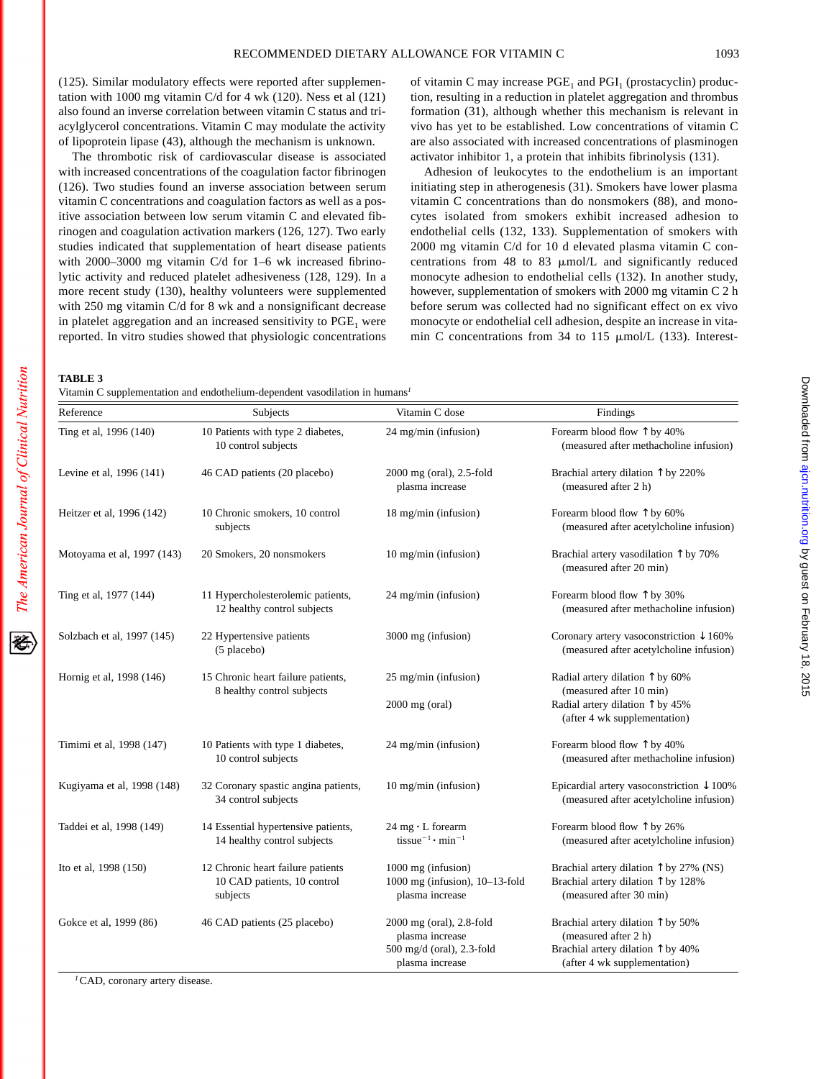(125). Similar modulatory effects were reported after supplementation with 1000 mg vitamin C/d for 4 wk (120). Ness et al (121) also found an inverse correlation between vitamin C status and triacylglycerol concentrations. Vitamin C may modulate the activity of lipoprotein lipase (43), although the mechanism is unknown.

The thrombotic risk of cardiovascular disease is associated with increased concentrations of the coagulation factor fibrinogen (126). Two studies found an inverse association between serum vitamin C concentrations and coagulation factors as well as a positive association between low serum vitamin C and elevated fibrinogen and coagulation activation markers (126, 127). Two early studies indicated that supplementation of heart disease patients with 2000–3000 mg vitamin C/d for 1–6 wk increased fibrinolytic activity and reduced platelet adhesiveness (128, 129). In a more recent study (130), healthy volunteers were supplemented with 250 mg vitamin C/d for 8 wk and a nonsignificant decrease in platelet aggregation and an increased sensitivity to  $PGE<sub>1</sub>$  were reported. In vitro studies showed that physiologic concentrations of vitamin C may increase  $PGE_1$  and  $PGI_1$  (prostacyclin) production, resulting in a reduction in platelet aggregation and thrombus formation (31), although whether this mechanism is relevant in vivo has yet to be established. Low concentrations of vitamin C are also associated with increased concentrations of plasminogen activator inhibitor 1, a protein that inhibits fibrinolysis (131).

Adhesion of leukocytes to the endothelium is an important initiating step in atherogenesis (31). Smokers have lower plasma vitamin C concentrations than do nonsmokers (88), and monocytes isolated from smokers exhibit increased adhesion to endothelial cells (132, 133). Supplementation of smokers with 2000 mg vitamin C/d for 10 d elevated plasma vitamin C concentrations from 48 to 83  $\mu$ mol/L and significantly reduced monocyte adhesion to endothelial cells (132). In another study, however, supplementation of smokers with 2000 mg vitamin C 2 h before serum was collected had no significant effect on ex vivo monocyte or endothelial cell adhesion, despite an increase in vitamin C concentrations from 34 to 115  $\mu$ mol/L (133). Interest-

**TABLE 3**

Vitamin C supplementation and endothelium-dependent vasodilation in humans*<sup>1</sup>*

| Reference                  | Subjects                                                                     | Vitamin C dose                                                                                   | Findings                                                                                                                                         |
|----------------------------|------------------------------------------------------------------------------|--------------------------------------------------------------------------------------------------|--------------------------------------------------------------------------------------------------------------------------------------------------|
| Ting et al, 1996 (140)     | 10 Patients with type 2 diabetes,<br>10 control subjects                     | 24 mg/min (infusion)                                                                             | Forearm blood flow $\uparrow$ by 40%<br>(measured after methacholine infusion)                                                                   |
| Levine et al, 1996 (141)   | 46 CAD patients (20 placebo)                                                 | 2000 mg (oral), 2.5-fold<br>plasma increase                                                      | Brachial artery dilation $\hat{\uparrow}$ by 220%<br>(measured after 2 h)                                                                        |
| Heitzer et al, 1996 (142)  | 10 Chronic smokers, 10 control<br>subjects                                   | 18 mg/min (infusion)                                                                             | Forearm blood flow $\uparrow$ by 60%<br>(measured after acetylcholine infusion)                                                                  |
| Motoyama et al, 1997 (143) | 20 Smokers, 20 nonsmokers                                                    | 10 mg/min (infusion)                                                                             | Brachial artery vasodilation $\uparrow$ by 70%<br>(measured after 20 min)                                                                        |
| Ting et al, 1977 (144)     | 11 Hypercholesterolemic patients,<br>12 healthy control subjects             | 24 mg/min (infusion)                                                                             | Forearm blood flow $\uparrow$ by 30%<br>(measured after methacholine infusion)                                                                   |
| Solzbach et al, 1997 (145) | 22 Hypertensive patients<br>(5 placebo)                                      | 3000 mg (infusion)                                                                               | Coronary artery vasoconstriction $\downarrow$ 160%<br>(measured after acetylcholine infusion)                                                    |
| Hornig et al, 1998 (146)   | 15 Chronic heart failure patients,<br>8 healthy control subjects             | 25 mg/min (infusion)                                                                             | Radial artery dilation $\uparrow$ by 60%<br>(measured after 10 min)                                                                              |
|                            |                                                                              | $2000$ mg (oral)                                                                                 | Radial artery dilation $\uparrow$ by 45%<br>(after 4 wk supplementation)                                                                         |
| Timimi et al, 1998 (147)   | 10 Patients with type 1 diabetes,<br>10 control subjects                     | 24 mg/min (infusion)                                                                             | Forearm blood flow $\uparrow$ by 40%<br>(measured after methacholine infusion)                                                                   |
| Kugiyama et al, 1998 (148) | 32 Coronary spastic angina patients,<br>34 control subjects                  | $10$ mg/min (infusion)                                                                           | Epicardial artery vasoconstriction $\downarrow$ 100%<br>(measured after acetylcholine infusion)                                                  |
| Taddei et al, 1998 (149)   | 14 Essential hypertensive patients,<br>14 healthy control subjects           | $24$ mg $\cdot$ L forearm<br>tissue <sup>-1</sup> · min <sup>-1</sup>                            | Forearm blood flow $\uparrow$ by 26%<br>(measured after acetylcholine infusion)                                                                  |
| Ito et al, 1998 (150)      | 12 Chronic heart failure patients<br>10 CAD patients, 10 control<br>subjects | 1000 mg (infusion)<br>1000 mg (infusion), 10-13-fold<br>plasma increase                          | Brachial artery dilation $\uparrow$ by 27% (NS)<br>Brachial artery dilation $\uparrow$ by 128%<br>(measured after 30 min)                        |
| Gokce et al, 1999 (86)     | 46 CAD patients (25 placebo)                                                 | $2000$ mg (oral), $2.8$ -fold<br>plasma increase<br>500 mg/d (oral), 2.3-fold<br>plasma increase | Brachial artery dilation $\uparrow$ by 50%<br>(measured after 2 h)<br>Brachial artery dilation $\uparrow$ by 40%<br>(after 4 wk supplementation) |

*<sup>1</sup>*CAD, coronary artery disease.

祬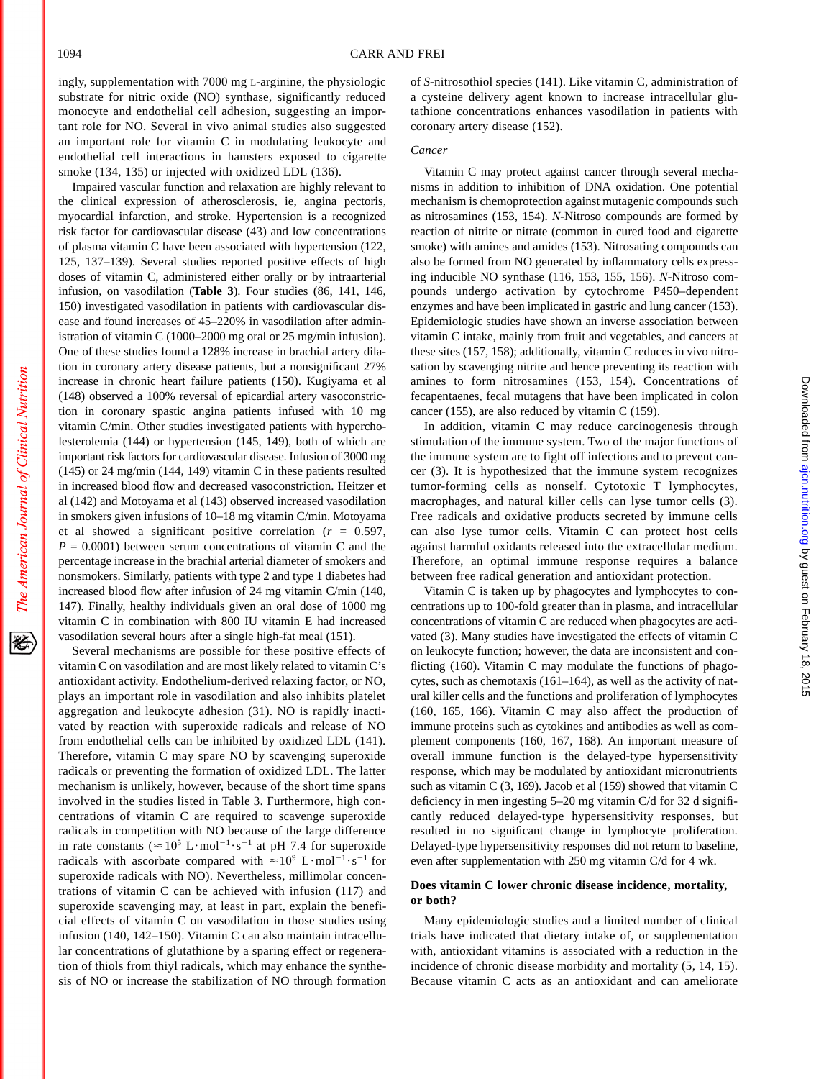经

ingly, supplementation with 7000 mg L-arginine, the physiologic substrate for nitric oxide (NO) synthase, significantly reduced monocyte and endothelial cell adhesion, suggesting an important role for NO. Several in vivo animal studies also suggested an important role for vitamin C in modulating leukocyte and endothelial cell interactions in hamsters exposed to cigarette smoke (134, 135) or injected with oxidized LDL (136).

Impaired vascular function and relaxation are highly relevant to the clinical expression of atherosclerosis, ie, angina pectoris, myocardial infarction, and stroke. Hypertension is a recognized risk factor for cardiovascular disease (43) and low concentrations of plasma vitamin C have been associated with hypertension (122, 125, 137–139). Several studies reported positive effects of high doses of vitamin C, administered either orally or by intraarterial infusion, on vasodilation (**Table 3**). Four studies (86, 141, 146, 150) investigated vasodilation in patients with cardiovascular disease and found increases of 45–220% in vasodilation after administration of vitamin C (1000–2000 mg oral or 25 mg/min infusion). One of these studies found a 128% increase in brachial artery dilation in coronary artery disease patients, but a nonsignificant 27% increase in chronic heart failure patients (150). Kugiyama et al (148) observed a 100% reversal of epicardial artery vasoconstriction in coronary spastic angina patients infused with 10 mg vitamin C/min. Other studies investigated patients with hypercholesterolemia (144) or hypertension (145, 149), both of which are important risk factors for cardiovascular disease. Infusion of 3000 mg (145) or 24 mg/min (144, 149) vitamin C in these patients resulted in increased blood flow and decreased vasoconstriction. Heitzer et al (142) and Motoyama et al (143) observed increased vasodilation in smokers given infusions of 10–18 mg vitamin C/min. Motoyama et al showed a significant positive correlation  $(r = 0.597,$  $P = 0.0001$ ) between serum concentrations of vitamin C and the percentage increase in the brachial arterial diameter of smokers and nonsmokers. Similarly, patients with type 2 and type 1 diabetes had increased blood flow after infusion of 24 mg vitamin C/min (140, 147). Finally, healthy individuals given an oral dose of 1000 mg vitamin C in combination with 800 IU vitamin E had increased vasodilation several hours after a single high-fat meal (151).

Several mechanisms are possible for these positive effects of vitamin C on vasodilation and are most likely related to vitamin C's antioxidant activity. Endothelium-derived relaxing factor, or NO, plays an important role in vasodilation and also inhibits platelet aggregation and leukocyte adhesion (31). NO is rapidly inactivated by reaction with superoxide radicals and release of NO from endothelial cells can be inhibited by oxidized LDL (141). Therefore, vitamin C may spare NO by scavenging superoxide radicals or preventing the formation of oxidized LDL. The latter mechanism is unlikely, however, because of the short time spans involved in the studies listed in Table 3. Furthermore, high concentrations of vitamin C are required to scavenge superoxide radicals in competition with NO because of the large difference in rate constants ( $\approx 10^5$  L·mol<sup>-1</sup>·s<sup>-1</sup> at pH 7.4 for superoxide radicals with ascorbate compared with  $\approx 10^9$  L·mol<sup>-1</sup>·s<sup>-1</sup> for superoxide radicals with NO). Nevertheless, millimolar concentrations of vitamin C can be achieved with infusion (117) and superoxide scavenging may, at least in part, explain the beneficial effects of vitamin C on vasodilation in those studies using infusion (140, 142–150). Vitamin C can also maintain intracellular concentrations of glutathione by a sparing effect or regeneration of thiols from thiyl radicals, which may enhance the synthesis of NO or increase the stabilization of NO through formation of *S*-nitrosothiol species (141). Like vitamin C, administration of a cysteine delivery agent known to increase intracellular glutathione concentrations enhances vasodilation in patients with coronary artery disease (152).

# *Cancer*

Vitamin C may protect against cancer through several mechanisms in addition to inhibition of DNA oxidation. One potential mechanism is chemoprotection against mutagenic compounds such as nitrosamines (153, 154). *N*-Nitroso compounds are formed by reaction of nitrite or nitrate (common in cured food and cigarette smoke) with amines and amides (153). Nitrosating compounds can also be formed from NO generated by inflammatory cells expressing inducible NO synthase (116, 153, 155, 156). *N*-Nitroso compounds undergo activation by cytochrome P450–dependent enzymes and have been implicated in gastric and lung cancer (153). Epidemiologic studies have shown an inverse association between vitamin C intake, mainly from fruit and vegetables, and cancers at these sites (157, 158); additionally, vitamin C reduces in vivo nitrosation by scavenging nitrite and hence preventing its reaction with amines to form nitrosamines (153, 154). Concentrations of fecapentaenes, fecal mutagens that have been implicated in colon cancer (155), are also reduced by vitamin C (159).

In addition, vitamin C may reduce carcinogenesis through stimulation of the immune system. Two of the major functions of the immune system are to fight off infections and to prevent cancer (3). It is hypothesized that the immune system recognizes tumor-forming cells as nonself. Cytotoxic T lymphocytes, macrophages, and natural killer cells can lyse tumor cells (3). Free radicals and oxidative products secreted by immune cells can also lyse tumor cells. Vitamin C can protect host cells against harmful oxidants released into the extracellular medium. Therefore, an optimal immune response requires a balance between free radical generation and antioxidant protection.

Vitamin C is taken up by phagocytes and lymphocytes to concentrations up to 100-fold greater than in plasma, and intracellular concentrations of vitamin C are reduced when phagocytes are activated (3). Many studies have investigated the effects of vitamin C on leukocyte function; however, the data are inconsistent and conflicting (160). Vitamin C may modulate the functions of phagocytes, such as chemotaxis (161–164), as well as the activity of natural killer cells and the functions and proliferation of lymphocytes (160, 165, 166). Vitamin C may also affect the production of immune proteins such as cytokines and antibodies as well as complement components (160, 167, 168). An important measure of overall immune function is the delayed-type hypersensitivity response, which may be modulated by antioxidant micronutrients such as vitamin C (3, 169). Jacob et al (159) showed that vitamin C deficiency in men ingesting 5–20 mg vitamin C/d for 32 d significantly reduced delayed-type hypersensitivity responses, but resulted in no significant change in lymphocyte proliferation. Delayed-type hypersensitivity responses did not return to baseline, even after supplementation with 250 mg vitamin C/d for 4 wk.

# **Does vitamin C lower chronic disease incidence, mortality, or both?**

Many epidemiologic studies and a limited number of clinical trials have indicated that dietary intake of, or supplementation with, antioxidant vitamins is associated with a reduction in the incidence of chronic disease morbidity and mortality (5, 14, 15). Because vitamin C acts as an antioxidant and can ameliorate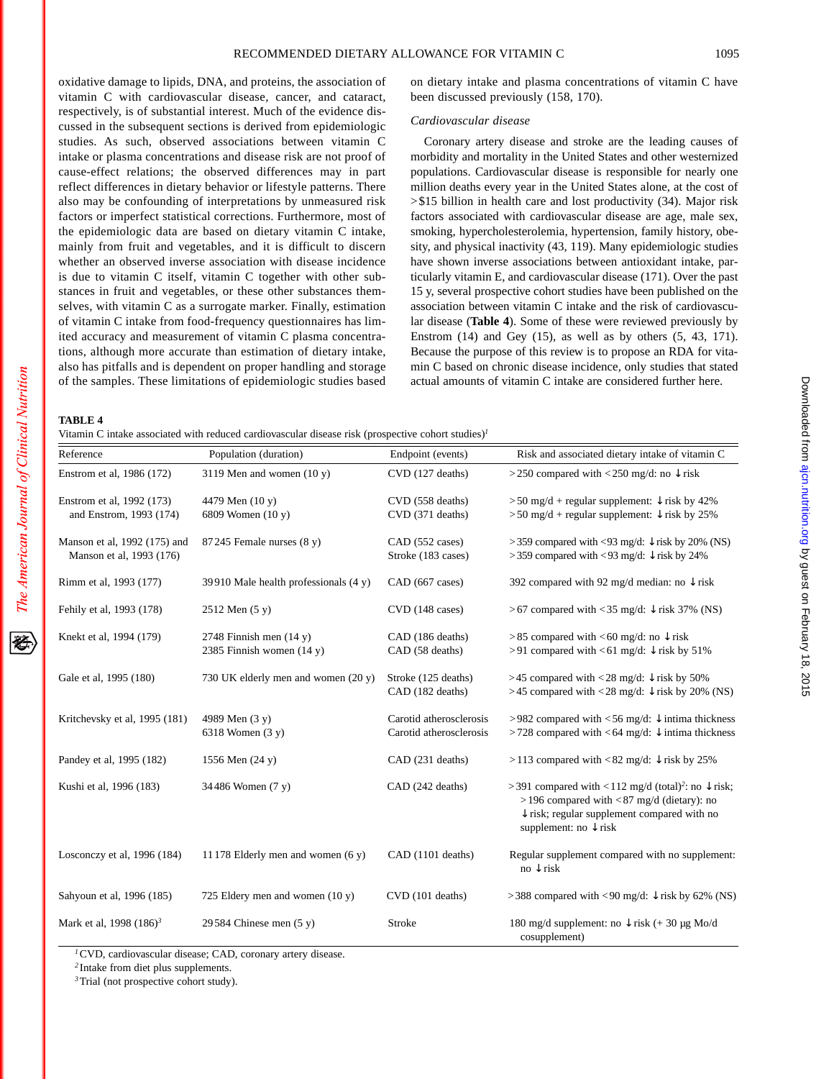oxidative damage to lipids, DNA, and proteins, the association of vitamin C with cardiovascular disease, cancer, and cataract, respectively, is of substantial interest. Much of the evidence discussed in the subsequent sections is derived from epidemiologic studies. As such, observed associations between vitamin C intake or plasma concentrations and disease risk are not proof of cause-effect relations; the observed differences may in part reflect differences in dietary behavior or lifestyle patterns. There also may be confounding of interpretations by unmeasured risk factors or imperfect statistical corrections. Furthermore, most of the epidemiologic data are based on dietary vitamin C intake, mainly from fruit and vegetables, and it is difficult to discern whether an observed inverse association with disease incidence is due to vitamin C itself, vitamin C together with other substances in fruit and vegetables, or these other substances themselves, with vitamin C as a surrogate marker. Finally, estimation of vitamin C intake from food-frequency questionnaires has limited accuracy and measurement of vitamin C plasma concentrations, although more accurate than estimation of dietary intake, also has pitfalls and is dependent on proper handling and storage of the samples. These limitations of epidemiologic studies based

on dietary intake and plasma concentrations of vitamin C have been discussed previously (158, 170).

# *Cardiovascular disease*

Coronary artery disease and stroke are the leading causes of morbidity and mortality in the United States and other westernized populations. Cardiovascular disease is responsible for nearly one million deaths every year in the United States alone, at the cost of >\$15 billion in health care and lost productivity (34). Major risk factors associated with cardiovascular disease are age, male sex, smoking, hypercholesterolemia, hypertension, family history, obesity, and physical inactivity (43, 119). Many epidemiologic studies have shown inverse associations between antioxidant intake, particularly vitamin E, and cardiovascular disease (171). Over the past 15 y, several prospective cohort studies have been published on the association between vitamin C intake and the risk of cardiovascular disease (**Table 4**). Some of these were reviewed previously by Enstrom (14) and Gey (15), as well as by others (5, 43, 171). Because the purpose of this review is to propose an RDA for vitamin C based on chronic disease incidence, only studies that stated actual amounts of vitamin C intake are considered further here.

# **TABLE 4**

|                                                          | Vitamin C intake associated with reduced cardiovascular disease risk (prospective cohort studies) <sup>1</sup> |                                                    |                                                                                                                                                                                                                         |
|----------------------------------------------------------|----------------------------------------------------------------------------------------------------------------|----------------------------------------------------|-------------------------------------------------------------------------------------------------------------------------------------------------------------------------------------------------------------------------|
| Reference                                                | Population (duration)                                                                                          | Endpoint (events)                                  | Risk and associated dietary intake of vitamin C                                                                                                                                                                         |
| Enstrom et al, 1986 (172)                                | 3119 Men and women $(10 y)$                                                                                    | CVD (127 deaths)                                   | >250 compared with <250 mg/d: no $\downarrow$ risk                                                                                                                                                                      |
| Enstrom et al, 1992 (173)<br>and Enstrom, 1993 (174)     | 4479 Men (10 y)<br>6809 Women (10 y)                                                                           | CVD (558 deaths)<br>CVD (371 deaths)               | $>$ 50 mg/d + regular supplement: $\downarrow$ risk by 42%<br>$> 50$ mg/d + regular supplement: $\sqrt{\frac{1}{1}}$ risk by 25%                                                                                        |
| Manson et al, 1992 (175) and<br>Manson et al, 1993 (176) | $87245$ Female nurses $(8 y)$                                                                                  | CAD (552 cases)<br>Stroke (183 cases)              | >359 compared with <93 mg/d: $\downarrow$ risk by 20% (NS)<br>>359 compared with <93 mg/d: $\downarrow$ risk by 24%                                                                                                     |
| Rimm et al, 1993 (177)                                   | 39910 Male health professionals $(4 y)$                                                                        | CAD (667 cases)                                    | 392 compared with 92 mg/d median: no $\downarrow$ risk                                                                                                                                                                  |
| Fehily et al, 1993 (178)                                 | 2512 Men (5 y)                                                                                                 | CVD (148 cases)                                    | >67 compared with <35 mg/d: $\downarrow$ risk 37% (NS)                                                                                                                                                                  |
| Knekt et al, 1994 (179)                                  | 2748 Finnish men $(14 y)$<br>2385 Finnish women $(14 y)$                                                       | CAD (186 deaths)<br>CAD (58 deaths)                | >85 compared with <60 mg/d: no $\downarrow$ risk<br>>91 compared with <61 mg/d: $\downarrow$ risk by 51%                                                                                                                |
| Gale et al, 1995 (180)                                   | 730 UK elderly men and women (20 y)                                                                            | Stroke (125 deaths)<br>CAD (182 deaths)            | >45 compared with <28 mg/d: $\downarrow$ risk by 50%<br>>45 compared with <28 mg/d: $\downarrow$ risk by 20% (NS)                                                                                                       |
| Kritchevsky et al, 1995 (181)                            | 4989 Men (3 y)<br>6318 Women (3 y)                                                                             | Carotid atherosclerosis<br>Carotid atherosclerosis | >982 compared with <56 mg/d: $\downarrow$ intima thickness<br>>728 compared with <64 mg/d: $\downarrow$ intima thickness                                                                                                |
| Pandey et al, 1995 (182)                                 | 1556 Men (24 y)                                                                                                | CAD (231 deaths)                                   | >113 compared with <82 mg/d: $\downarrow$ risk by 25%                                                                                                                                                                   |
| Kushi et al, 1996 (183)                                  | 34486 Women (7 y)                                                                                              | CAD (242 deaths)                                   | >391 compared with <112 mg/d (total) <sup>2</sup> : no $\downarrow$ risk;<br>$>$ 196 compared with <87 mg/d (dietary): no<br>$\downarrow$ risk; regular supplement compared with no<br>supplement: no $\downarrow$ risk |
| Losconczy et al, 1996 (184)                              | 11 178 Elderly men and women $(6 y)$                                                                           | CAD (1101 deaths)                                  | Regular supplement compared with no supplement:<br>$no \downarrow$ risk                                                                                                                                                 |
| Sahyoun et al, 1996 (185)                                | 725 Eldery men and women $(10 y)$                                                                              | CVD (101 deaths)                                   | >388 compared with <90 mg/d: $\downarrow$ risk by 62% (NS)                                                                                                                                                              |
| Mark et al, 1998 (186) <sup>3</sup>                      | 29584 Chinese men $(5 y)$                                                                                      | Stroke                                             | 180 mg/d supplement: no $\downarrow$ risk (+ 30 µg Mo/d<br>cosupplement)                                                                                                                                                |

*<sup>1</sup>*CVD, cardiovascular disease; CAD, coronary artery disease.

*<sup>2</sup>* Intake from diet plus supplements.

*<sup>3</sup>*Trial (not prospective cohort study).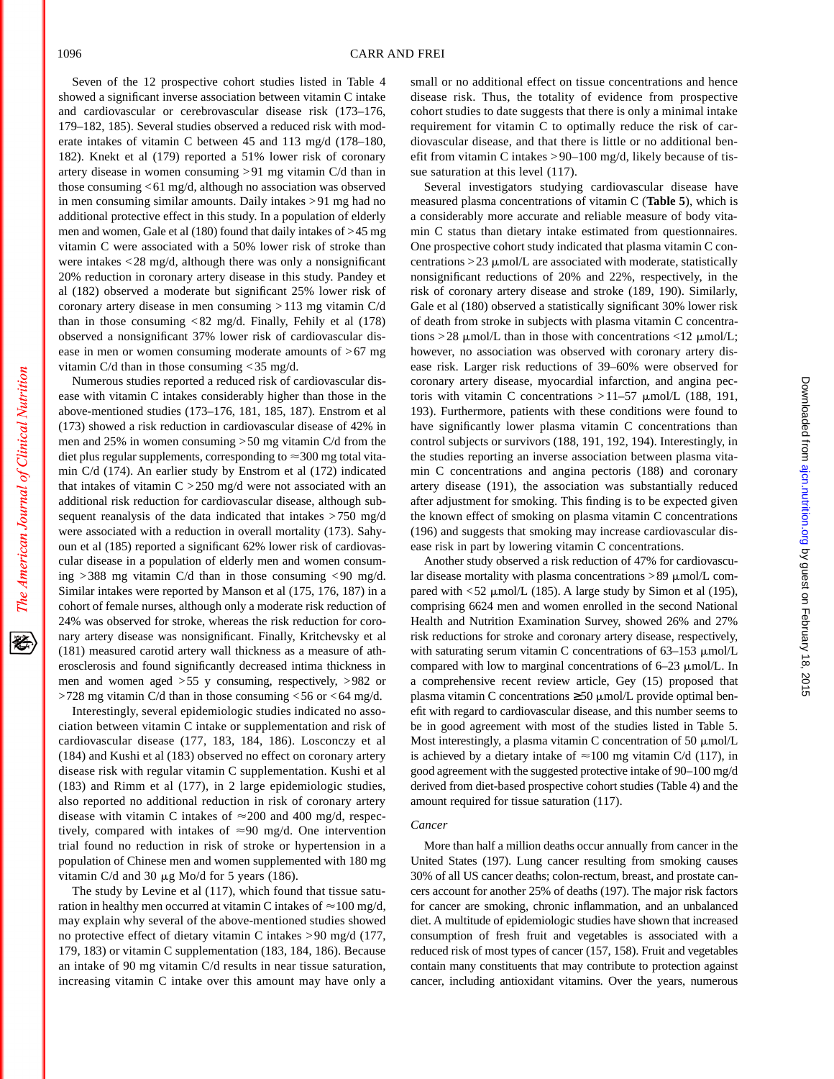Seven of the 12 prospective cohort studies listed in Table 4 showed a significant inverse association between vitamin C intake and cardiovascular or cerebrovascular disease risk (173–176, 179–182, 185). Several studies observed a reduced risk with moderate intakes of vitamin C between 45 and 113 mg/d (178–180, 182). Knekt et al (179) reported a 51% lower risk of coronary artery disease in women consuming >91 mg vitamin C/d than in those consuming <61 mg/d, although no association was observed in men consuming similar amounts. Daily intakes >91 mg had no additional protective effect in this study. In a population of elderly men and women, Gale et al (180) found that daily intakes of >45 mg vitamin C were associated with a 50% lower risk of stroke than were intakes <28 mg/d, although there was only a nonsignificant 20% reduction in coronary artery disease in this study. Pandey et al (182) observed a moderate but significant 25% lower risk of coronary artery disease in men consuming > 113 mg vitamin C/d than in those consuming  $<82$  mg/d. Finally, Fehily et al (178) observed a nonsignificant 37% lower risk of cardiovascular disease in men or women consuming moderate amounts of  $>67$  mg vitamin C/d than in those consuming < 35 mg/d.

Numerous studies reported a reduced risk of cardiovascular disease with vitamin C intakes considerably higher than those in the above-mentioned studies (173–176, 181, 185, 187). Enstrom et al (173) showed a risk reduction in cardiovascular disease of 42% in men and 25% in women consuming >50 mg vitamin C/d from the diet plus regular supplements, corresponding to  $\approx$ 300 mg total vitamin C/d (174). An earlier study by Enstrom et al (172) indicated that intakes of vitamin  $C > 250$  mg/d were not associated with an additional risk reduction for cardiovascular disease, although subsequent reanalysis of the data indicated that intakes >750 mg/d were associated with a reduction in overall mortality (173). Sahyoun et al (185) reported a significant 62% lower risk of cardiovascular disease in a population of elderly men and women consuming >388 mg vitamin C/d than in those consuming <90 mg/d. Similar intakes were reported by Manson et al (175, 176, 187) in a cohort of female nurses, although only a moderate risk reduction of 24% was observed for stroke, whereas the risk reduction for coronary artery disease was nonsignificant. Finally, Kritchevsky et al (181) measured carotid artery wall thickness as a measure of atherosclerosis and found significantly decreased intima thickness in men and women aged >55 y consuming, respectively, >982 or >728 mg vitamin C/d than in those consuming <56 or <64 mg/d.

Interestingly, several epidemiologic studies indicated no association between vitamin C intake or supplementation and risk of cardiovascular disease (177, 183, 184, 186). Losconczy et al (184) and Kushi et al (183) observed no effect on coronary artery disease risk with regular vitamin C supplementation. Kushi et al (183) and Rimm et al (177), in 2 large epidemiologic studies, also reported no additional reduction in risk of coronary artery disease with vitamin C intakes of  $\approx$  200 and 400 mg/d, respectively, compared with intakes of  $\approx 90$  mg/d. One intervention trial found no reduction in risk of stroke or hypertension in a population of Chinese men and women supplemented with 180 mg vitamin C/d and 30  $\mu$ g Mo/d for 5 years (186).

The study by Levine et al (117), which found that tissue saturation in healthy men occurred at vitamin C intakes of  $\approx$  100 mg/d, may explain why several of the above-mentioned studies showed no protective effect of dietary vitamin C intakes >90 mg/d (177, 179, 183) or vitamin C supplementation (183, 184, 186). Because an intake of 90 mg vitamin C/d results in near tissue saturation, increasing vitamin C intake over this amount may have only a small or no additional effect on tissue concentrations and hence disease risk. Thus, the totality of evidence from prospective cohort studies to date suggests that there is only a minimal intake requirement for vitamin C to optimally reduce the risk of cardiovascular disease, and that there is little or no additional benefit from vitamin C intakes > 90–100 mg/d, likely because of tissue saturation at this level (117).

Several investigators studying cardiovascular disease have measured plasma concentrations of vitamin C (**Table 5**), which is a considerably more accurate and reliable measure of body vitamin C status than dietary intake estimated from questionnaires. One prospective cohort study indicated that plasma vitamin C concentrations  $>$  23  $\mu$ mol/L are associated with moderate, statistically nonsignificant reductions of 20% and 22%, respectively, in the risk of coronary artery disease and stroke (189, 190). Similarly, Gale et al (180) observed a statistically significant 30% lower risk of death from stroke in subjects with plasma vitamin C concentrations > 28  $\mu$ mol/L than in those with concentrations <12  $\mu$ mol/L; however, no association was observed with coronary artery disease risk. Larger risk reductions of 39–60% were observed for coronary artery disease, myocardial infarction, and angina pectoris with vitamin C concentrations  $>11-57$   $\mu$ mol/L (188, 191, 193). Furthermore, patients with these conditions were found to have significantly lower plasma vitamin C concentrations than control subjects or survivors (188, 191, 192, 194). Interestingly, in the studies reporting an inverse association between plasma vitamin C concentrations and angina pectoris (188) and coronary artery disease (191), the association was substantially reduced after adjustment for smoking. This finding is to be expected given the known effect of smoking on plasma vitamin C concentrations (196) and suggests that smoking may increase cardiovascular disease risk in part by lowering vitamin C concentrations.

Another study observed a risk reduction of 47% for cardiovascular disease mortality with plasma concentrations  $>89 \mu$ mol/L compared with <52  $\mu$ mol/L (185). A large study by Simon et al (195), comprising 6624 men and women enrolled in the second National Health and Nutrition Examination Survey, showed 26% and 27% risk reductions for stroke and coronary artery disease, respectively, with saturating serum vitamin C concentrations of  $63-153 \mu$ mol/L compared with low to marginal concentrations of  $6-23 \mu$ mol/L. In a comprehensive recent review article, Gey (15) proposed that plasma vitamin C concentrations  $\geq$  50  $\mu$ mol/L provide optimal benefit with regard to cardiovascular disease, and this number seems to be in good agreement with most of the studies listed in Table 5. Most interestingly, a plasma vitamin C concentration of 50  $\mu$ mol/L is achieved by a dietary intake of  $\approx$  100 mg vitamin C/d (117), in good agreement with the suggested protective intake of 90–100 mg/d derived from diet-based prospective cohort studies (Table 4) and the amount required for tissue saturation (117).

# *Cancer*

More than half a million deaths occur annually from cancer in the United States (197). Lung cancer resulting from smoking causes 30% of all US cancer deaths; colon-rectum, breast, and prostate cancers account for another 25% of deaths (197). The major risk factors for cancer are smoking, chronic inflammation, and an unbalanced diet. A multitude of epidemiologic studies have shown that increased consumption of fresh fruit and vegetables is associated with a reduced risk of most types of cancer (157, 158). Fruit and vegetables contain many constituents that may contribute to protection against cancer, including antioxidant vitamins. Over the years, numerous

The American Journal of Clinical Nutrition

移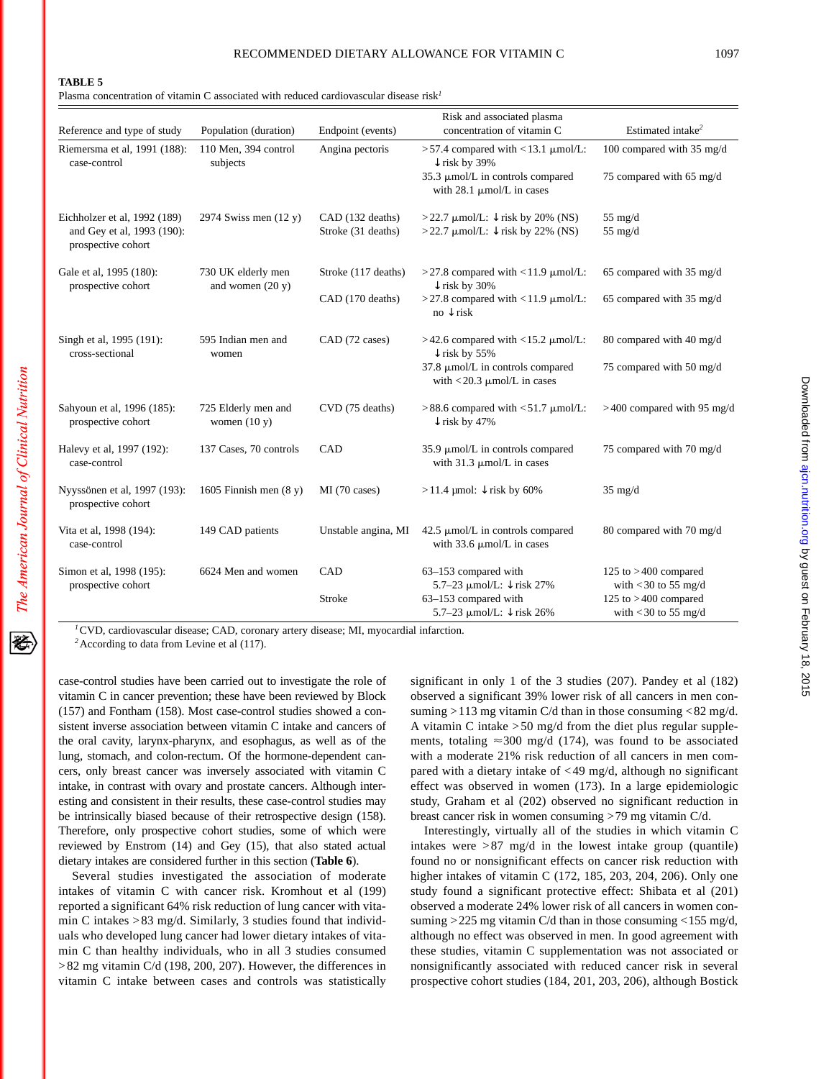石

Plasma concentration of vitamin C associated with reduced cardiovascular disease risk*<sup>1</sup>*

|                                                                                  |                                          |                                        | Risk and associated plasma                                                                                                           |                                                  |
|----------------------------------------------------------------------------------|------------------------------------------|----------------------------------------|--------------------------------------------------------------------------------------------------------------------------------------|--------------------------------------------------|
| Reference and type of study                                                      | Population (duration)                    | Endpoint (events)                      | concentration of vitamin C                                                                                                           | Estimated intake <sup>2</sup>                    |
| Riemersma et al, 1991 (188):<br>case-control                                     | 110 Men, 394 control<br>subjects         | Angina pectoris                        | $>57.4$ compared with <13.1 $\mu$ mol/L:<br>$\downarrow$ risk by 39%                                                                 | 100 compared with 35 mg/d                        |
|                                                                                  |                                          |                                        | 35.3 µmol/L in controls compared<br>with $28.1 \mu$ mol/L in cases                                                                   | 75 compared with 65 mg/d                         |
| Eichholzer et al, 1992 (189)<br>and Gey et al, 1993 (190):<br>prospective cohort | 2974 Swiss men $(12 y)$                  | CAD (132 deaths)<br>Stroke (31 deaths) | >22.7 $\mu$ mol/L: $\downarrow$ risk by 20% (NS)<br>>22.7 $\mu$ mol/L: $\downarrow$ risk by 22% (NS)                                 | $55$ mg/d<br>$55$ mg/d                           |
| Gale et al, 1995 (180):<br>prospective cohort                                    | 730 UK elderly men<br>and women $(20 y)$ | Stroke (117 deaths)                    | $>$ 27.8 compared with <11.9 $\mu$ mol/L:<br>$\downarrow$ risk by 30%                                                                | 65 compared with 35 mg/d                         |
|                                                                                  |                                          | CAD (170 deaths)                       | $>$ 27.8 compared with <11.9 $\mu$ mol/L:<br>$no \downarrow$ risk                                                                    | 65 compared with 35 mg/d                         |
| Singh et al, 1995 (191):<br>cross-sectional                                      | 595 Indian men and<br>women              | CAD (72 cases)                         | >42.6 compared with <15.2 µmol/L:<br>$\downarrow$ risk by 55%                                                                        | 80 compared with 40 mg/d                         |
|                                                                                  |                                          |                                        | 37.8 µmol/L in controls compared<br>with $<$ 20.3 $\mu$ mol/L in cases                                                               | 75 compared with 50 mg/d                         |
| Sahyoun et al, 1996 (185):<br>prospective cohort                                 | 725 Elderly men and<br>women $(10 y)$    | CVD (75 deaths)                        | $>88.6$ compared with <51.7 $\mu$ mol/L:<br>$\downarrow$ risk by 47%                                                                 | $>400$ compared with 95 mg/d                     |
| Halevy et al, 1997 (192):<br>case-control                                        | 137 Cases, 70 controls                   | CAD                                    | 35.9 $\mu$ mol/L in controls compared<br>with $31.3 \mu$ mol/L in cases                                                              | 75 compared with 70 mg/d                         |
| Nyyssönen et al, 1997 (193):<br>prospective cohort                               | 1605 Finnish men $(8 y)$                 | MI (70 cases)                          | $>$ 11.4 µmol: $\downarrow$ risk by 60%                                                                                              | $35 \text{ mg/d}$                                |
| Vita et al, 1998 (194):<br>case-control                                          | 149 CAD patients                         | Unstable angina, MI                    | $42.5 \mu$ mol/L in controls compared<br>with 33.6 $\mu$ mol/L in cases                                                              | 80 compared with 70 mg/d                         |
| Simon et al, 1998 (195):<br>prospective cohort                                   | 6624 Men and women                       | CAD                                    | 63-153 compared with<br>5.7-23 µmol/L: ↓ risk 27%                                                                                    | 125 to $>400$ compared<br>with $<$ 30 to 55 mg/d |
| $lcm \t{v}$<br><b>Contract Street</b>                                            | $C_{1}$                                  | Stroke<br><b>B AT</b>                  | 63-153 compared with<br>5.7–23 $\mu$ mol/L: $\downarrow$ risk 26%<br>$\mathbf{r}$ and $\mathbf{r}$ and $\mathbf{r}$ and $\mathbf{r}$ | 125 to $>400$ compared<br>with $<$ 30 to 55 mg/d |

*<sup>1</sup>*CVD, cardiovascular disease; CAD, coronary artery disease; MI, myocardial infarction.

*<sup>2</sup>*According to data from Levine et al (117).

case-control studies have been carried out to investigate the role of vitamin C in cancer prevention; these have been reviewed by Block (157) and Fontham (158). Most case-control studies showed a consistent inverse association between vitamin C intake and cancers of the oral cavity, larynx-pharynx, and esophagus, as well as of the lung, stomach, and colon-rectum. Of the hormone-dependent cancers, only breast cancer was inversely associated with vitamin C intake, in contrast with ovary and prostate cancers. Although interesting and consistent in their results, these case-control studies may be intrinsically biased because of their retrospective design (158). Therefore, only prospective cohort studies, some of which were reviewed by Enstrom (14) and Gey (15), that also stated actual dietary intakes are considered further in this section (**Table 6**).

Several studies investigated the association of moderate intakes of vitamin C with cancer risk. Kromhout et al (199) reported a significant 64% risk reduction of lung cancer with vitamin C intakes >83 mg/d. Similarly, 3 studies found that individuals who developed lung cancer had lower dietary intakes of vitamin C than healthy individuals, who in all 3 studies consumed >82 mg vitamin C/d (198, 200, 207). However, the differences in vitamin C intake between cases and controls was statistically significant in only 1 of the 3 studies (207). Pandey et al (182) observed a significant 39% lower risk of all cancers in men consuming  $>113$  mg vitamin C/d than in those consuming  $< 82$  mg/d. A vitamin C intake  $>50$  mg/d from the diet plus regular supplements, totaling  $\approx$ 300 mg/d (174), was found to be associated with a moderate 21% risk reduction of all cancers in men compared with a dietary intake of <49 mg/d, although no significant effect was observed in women (173). In a large epidemiologic study, Graham et al (202) observed no significant reduction in breast cancer risk in women consuming >79 mg vitamin C/d.

Interestingly, virtually all of the studies in which vitamin C intakes were  $>87$  mg/d in the lowest intake group (quantile) found no or nonsignificant effects on cancer risk reduction with higher intakes of vitamin C (172, 185, 203, 204, 206). Only one study found a significant protective effect: Shibata et al (201) observed a moderate 24% lower risk of all cancers in women consuming >225 mg vitamin C/d than in those consuming <155 mg/d, although no effect was observed in men. In good agreement with these studies, vitamin C supplementation was not associated or nonsignificantly associated with reduced cancer risk in several prospective cohort studies (184, 201, 203, 206), although Bostick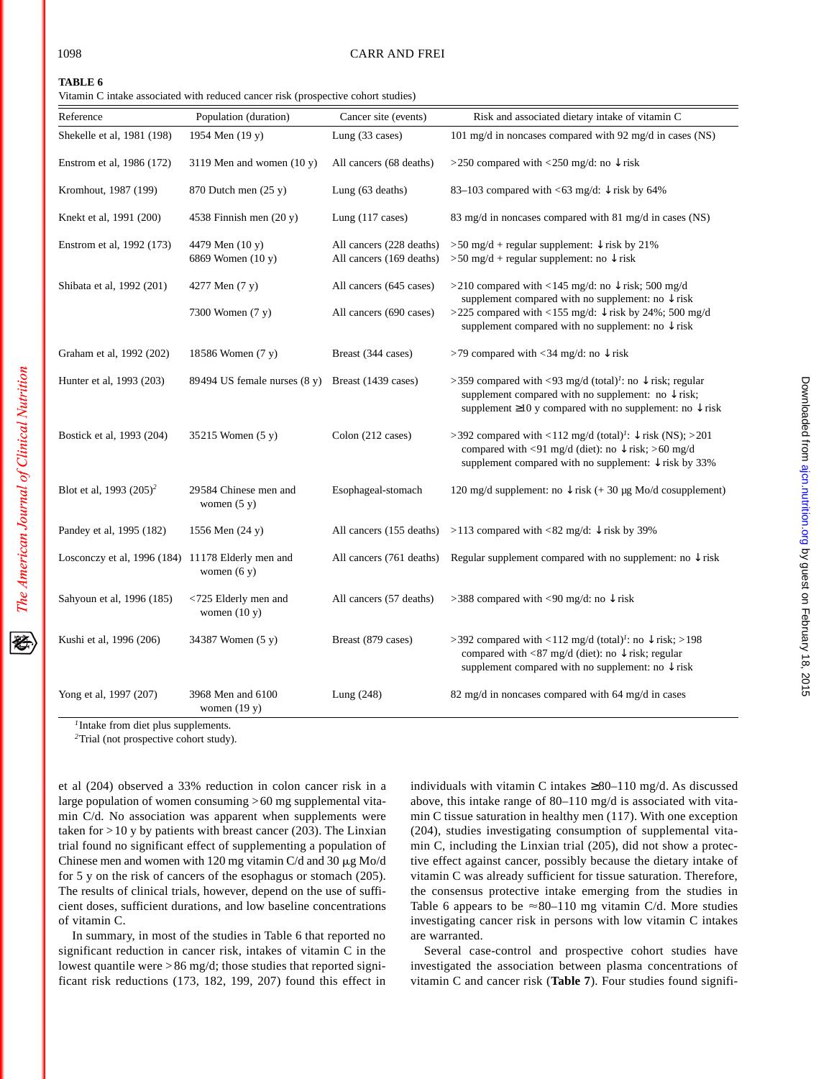移

#### 1098 CARR AND FREI

#### **TABLE 6**

Vitamin C intake associated with reduced cancer risk (prospective cohort studies)

| Risk and associated dietary intake of vitamin C<br>101 mg/d in noncases compared with 92 mg/d in cases (NS)<br>>250 compared with <250 mg/d: no $\downarrow$ risk<br>83–103 compared with <63 mg/d: $\downarrow$ risk by 64%<br>83 mg/d in noncases compared with 81 mg/d in cases (NS) |
|-----------------------------------------------------------------------------------------------------------------------------------------------------------------------------------------------------------------------------------------------------------------------------------------|
|                                                                                                                                                                                                                                                                                         |
|                                                                                                                                                                                                                                                                                         |
|                                                                                                                                                                                                                                                                                         |
|                                                                                                                                                                                                                                                                                         |
|                                                                                                                                                                                                                                                                                         |
| >50 mg/d + regular supplement: $\downarrow$ risk by 21%<br>>50 mg/d + regular supplement: no $\downarrow$ risk                                                                                                                                                                          |
| >210 compared with <145 mg/d: no $\downarrow$ risk; 500 mg/d                                                                                                                                                                                                                            |
| supplement compared with no supplement: no $\downarrow$ risk<br>>225 compared with <155 mg/d: $\downarrow$ risk by 24%; 500 mg/d<br>supplement compared with no supplement: no $\downarrow$ risk                                                                                        |
| >79 compared with <34 mg/d: no $\downarrow$ risk                                                                                                                                                                                                                                        |
| >359 compared with <93 mg/d (total) <sup>1</sup> : no $\downarrow$ risk; regular<br>supplement compared with no supplement: no $\downarrow$ risk;<br>supplement $\geq 10$ y compared with no supplement: no $\downarrow$ risk                                                           |
| >392 compared with <112 mg/d (total) <sup>1</sup> : $\sqrt{\text{risk}}$ (NS); >201<br>compared with <91 mg/d (diet): no $\downarrow$ risk; >60 mg/d<br>supplement compared with no supplement: $\downarrow$ risk by 33%                                                                |
| 120 mg/d supplement: no $\downarrow$ risk (+ 30 µg Mo/d cosupplement)                                                                                                                                                                                                                   |
| All cancers (155 deaths) > 113 compared with <82 mg/d: $\downarrow$ risk by 39%                                                                                                                                                                                                         |
| All cancers (761 deaths) Regular supplement compared with no supplement: no $\downarrow$ risk                                                                                                                                                                                           |
| >388 compared with <90 mg/d: no $\downarrow$ risk                                                                                                                                                                                                                                       |
| >392 compared with <112 mg/d (total) <sup>1</sup> : no $\downarrow$ risk; >198<br>compared with <87 mg/d (diet): no $\downarrow$ risk; regular<br>supplement compared with no supplement: no $\downarrow$ risk                                                                          |
| 82 mg/d in noncases compared with 64 mg/d in cases                                                                                                                                                                                                                                      |
|                                                                                                                                                                                                                                                                                         |

*<sup>1</sup>*Intake from diet plus supplements.

*<sup>2</sup>*Trial (not prospective cohort study).

et al (204) observed a 33% reduction in colon cancer risk in a large population of women consuming >60 mg supplemental vitamin C/d. No association was apparent when supplements were taken for  $>10$  y by patients with breast cancer (203). The Linxian trial found no significant effect of supplementing a population of Chinese men and women with 120 mg vitamin C/d and 30  $\mu$ g Mo/d for 5 y on the risk of cancers of the esophagus or stomach (205). The results of clinical trials, however, depend on the use of sufficient doses, sufficient durations, and low baseline concentrations of vitamin C.

In summary, in most of the studies in Table 6 that reported no significant reduction in cancer risk, intakes of vitamin C in the lowest quantile were > 86 mg/d; those studies that reported significant risk reductions (173, 182, 199, 207) found this effect in individuals with vitamin C intakes  $\geq 80-110$  mg/d. As discussed above, this intake range of 80–110 mg/d is associated with vitamin C tissue saturation in healthy men (117). With one exception (204), studies investigating consumption of supplemental vitamin C, including the Linxian trial (205), did not show a protective effect against cancer, possibly because the dietary intake of vitamin C was already sufficient for tissue saturation. Therefore, the consensus protective intake emerging from the studies in Table 6 appears to be  $\approx 80-110$  mg vitamin C/d. More studies investigating cancer risk in persons with low vitamin C intakes are warranted.

Several case-control and prospective cohort studies have investigated the association between plasma concentrations of vitamin C and cancer risk (**Table 7**). Four studies found signifi-

 $=$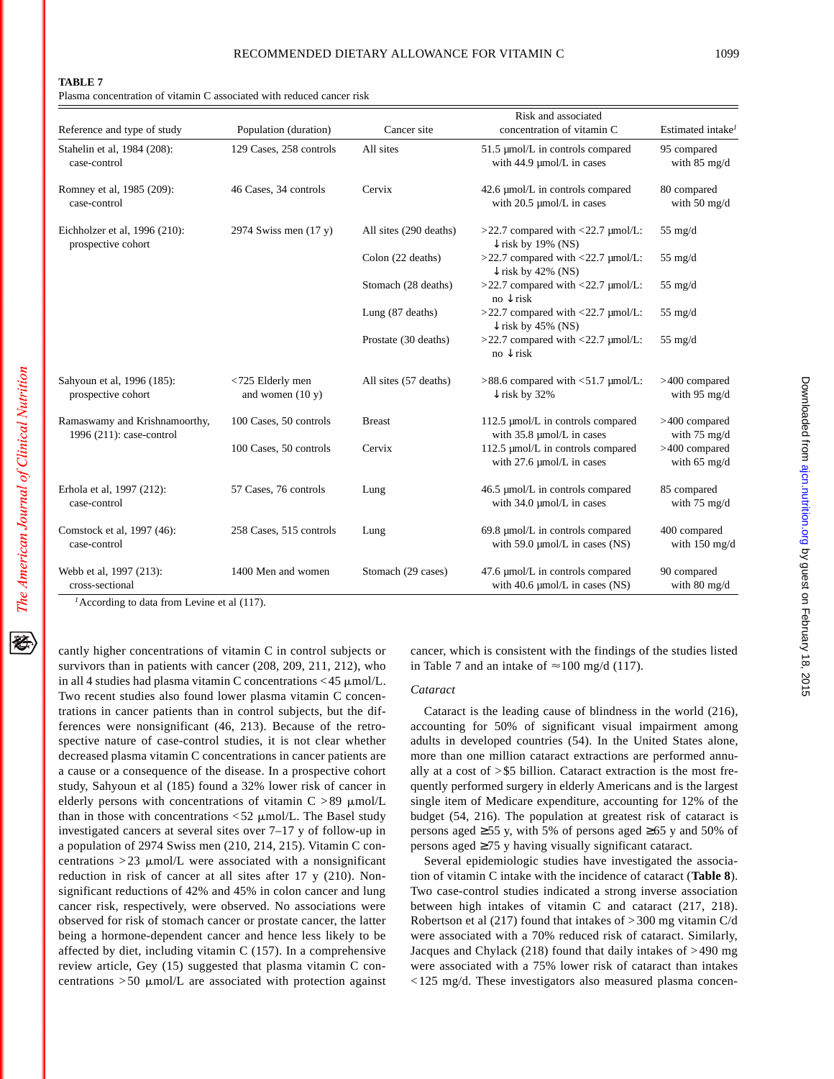#### **TABLE 7**

Plasma concentration of vitamin C associated with reduced cancer risk

| Reference and type of study                               | Population (duration)                  | Cancer site            | Risk and associated<br>concentration of vitamin C                         | Estimated intake <sup>1</sup>             |
|-----------------------------------------------------------|----------------------------------------|------------------------|---------------------------------------------------------------------------|-------------------------------------------|
| Stahelin et al, 1984 (208):<br>case-control               | 129 Cases, 258 controls                | All sites              | 51.5 µmol/L in controls compared<br>with 44.9 µmol/L in cases             | 95 compared<br>with $85$ mg/d             |
| Romney et al, 1985 (209):<br>case-control                 | 46 Cases, 34 controls                  | Cervix                 | 42.6 µmol/L in controls compared<br>with 20.5 µmol/L in cases             | 80 compared<br>with $50 \text{ mg/d}$     |
| Eichholzer et al, 1996 (210):<br>prospective cohort       | 2974 Swiss men $(17 y)$                | All sites (290 deaths) | $>22.7$ compared with <22.7 $\mu$ mol/L:<br>$\downarrow$ risk by 19% (NS) | $55 \text{ mg/d}$                         |
|                                                           |                                        | Colon (22 deaths)      | >22.7 compared with <22.7 µmol/L:<br>$\downarrow$ risk by 42% (NS)        | $55$ mg/d                                 |
|                                                           |                                        | Stomach (28 deaths)    | $>22.7$ compared with <22.7 $\mu$ mol/L:<br>$no \downarrow$ risk          | $55 \text{ mg/d}$                         |
|                                                           |                                        | Lung (87 deaths)       | $>22.7$ compared with <22.7 $\mu$ mol/L:<br>$\downarrow$ risk by 45% (NS) | $55 \text{ mg/d}$                         |
|                                                           |                                        | Prostate (30 deaths)   | $>22.7$ compared with <22.7 $\mu$ mol/L:<br>$no \downarrow$ risk          | $55 \text{ mg/d}$                         |
| Sahyoun et al, 1996 (185):<br>prospective cohort          | <725 Elderly men<br>and women $(10 y)$ | All sites (57 deaths)  | $>88.6$ compared with $< 51.7$ µmol/L:<br>$\downarrow$ risk by 32%        | >400 compared<br>with $95 \text{ mg/d}$   |
| Ramaswamy and Krishnamoorthy,<br>1996 (211): case-control | 100 Cases, 50 controls                 | <b>Breast</b>          | 112.5 µmol/L in controls compared<br>with 35.8 µmol/L in cases            | $>400$ compared<br>with $75 \text{ mg/d}$ |
|                                                           | 100 Cases, 50 controls                 | Cervix                 | 112.5 µmol/L in controls compared<br>with 27.6 µmol/L in cases            | >400 compared<br>with $65 \text{ mg/d}$   |
| Erhola et al, 1997 (212):<br>case-control                 | 57 Cases, 76 controls                  | Lung                   | 46.5 µmol/L in controls compared<br>with 34.0 µmol/L in cases             | 85 compared<br>with $75 \text{ mg/d}$     |
| Comstock et al, 1997 (46):<br>case-control                | 258 Cases, 515 controls                | Lung                   | 69.8 µmol/L in controls compared<br>with $59.0 \mu$ mol/L in cases (NS)   | 400 compared<br>with $150$ mg/d           |
| Webb et al, 1997 (213):<br>cross-sectional                | 1400 Men and women                     | Stomach (29 cases)     | 47.6 µmol/L in controls compared<br>with $40.6 \mu$ mol/L in cases (NS)   | 90 compared<br>with 80 mg/d               |

<sup>1</sup> According to data from Levine et al (117).

cantly higher concentrations of vitamin C in control subjects or survivors than in patients with cancer (208, 209, 211, 212), who in all 4 studies had plasma vitamin C concentrations  $<$  45  $\mu$ mol/L. Two recent studies also found lower plasma vitamin C concentrations in cancer patients than in control subjects, but the differences were nonsignificant (46, 213). Because of the retrospective nature of case-control studies, it is not clear whether decreased plasma vitamin C concentrations in cancer patients are a cause or a consequence of the disease. In a prospective cohort study, Sahyoun et al (185) found a 32% lower risk of cancer in elderly persons with concentrations of vitamin  $C > 89$   $\mu$ mol/L than in those with concentrations  $\langle 52 \mu \text{mol/L}$ . The Basel study investigated cancers at several sites over 7–17 y of follow-up in a population of 2974 Swiss men (210, 214, 215). Vitamin C concentrations  $>23$  µmol/L were associated with a nonsignificant reduction in risk of cancer at all sites after 17 y (210). Nonsignificant reductions of 42% and 45% in colon cancer and lung cancer risk, respectively, were observed. No associations were observed for risk of stomach cancer or prostate cancer, the latter being a hormone-dependent cancer and hence less likely to be affected by diet, including vitamin C (157). In a comprehensive review article, Gey (15) suggested that plasma vitamin C concentrations  $>50$  µmol/L are associated with protection against cancer, which is consistent with the findings of the studies listed in Table 7 and an intake of  $\approx$  100 mg/d (117).

# *Cataract*

Cataract is the leading cause of blindness in the world (216), accounting for 50% of significant visual impairment among adults in developed countries (54). In the United States alone, more than one million cataract extractions are performed annually at a cost of >\$5 billion. Cataract extraction is the most frequently performed surgery in elderly Americans and is the largest single item of Medicare expenditure, accounting for 12% of the budget (54, 216). The population at greatest risk of cataract is persons aged  $\geq 55$  y, with 5% of persons aged  $\geq 65$  y and 50% of persons aged ≥75 y having visually significant cataract.

Several epidemiologic studies have investigated the association of vitamin C intake with the incidence of cataract (**Table 8**). Two case-control studies indicated a strong inverse association between high intakes of vitamin C and cataract (217, 218). Robertson et al (217) found that intakes of >300 mg vitamin C/d were associated with a 70% reduced risk of cataract. Similarly, Jacques and Chylack (218) found that daily intakes of >490 mg were associated with a 75% lower risk of cataract than intakes < 125 mg/d. These investigators also measured plasma concen-

经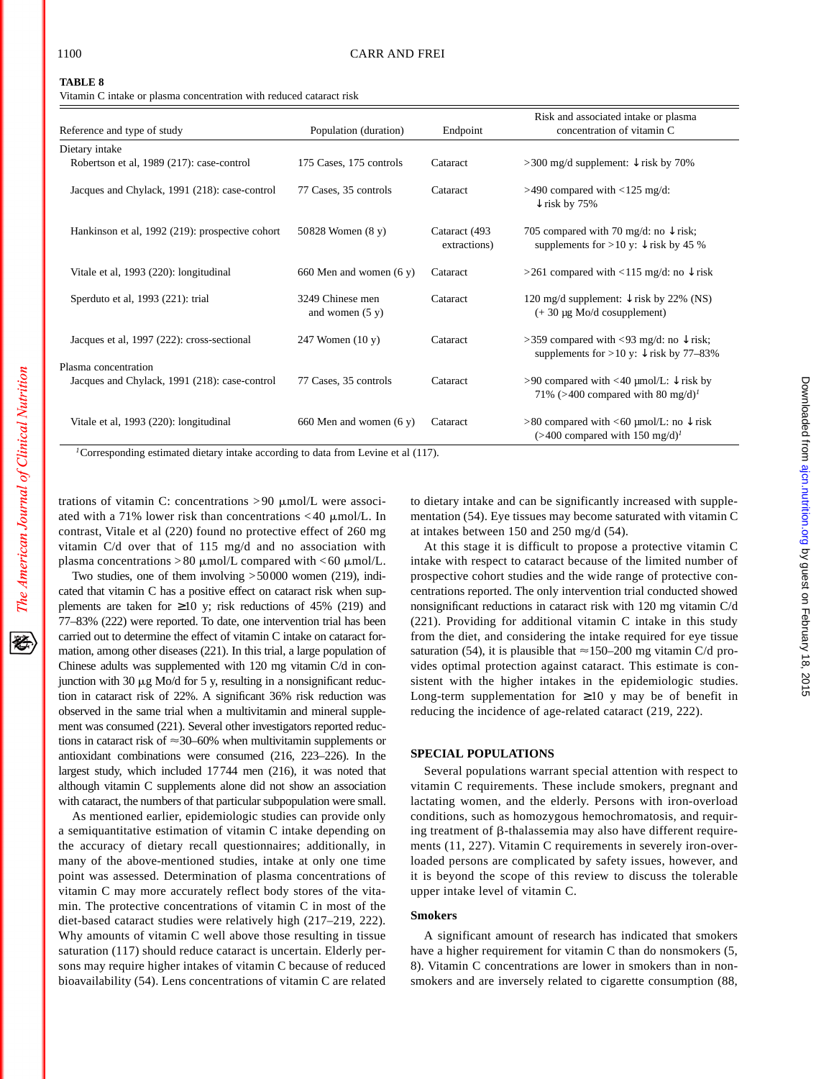Vitamin C intake or plasma concentration with reduced cataract risk

|                                                                       |                                       |                               | Risk and associated intake or plasma                                                                      |
|-----------------------------------------------------------------------|---------------------------------------|-------------------------------|-----------------------------------------------------------------------------------------------------------|
| Reference and type of study                                           | Population (duration)                 | Endpoint                      | concentration of vitamin C                                                                                |
| Dietary intake                                                        |                                       |                               |                                                                                                           |
| Robertson et al, 1989 (217): case-control                             | 175 Cases, 175 controls               | Cataract                      | >300 mg/d supplement: $\downarrow$ risk by 70%                                                            |
| Jacques and Chylack, 1991 (218): case-control                         | 77 Cases, 35 controls                 | Cataract                      | $>490$ compared with $< 125$ mg/d:<br>$\downarrow$ risk by 75%                                            |
| Hankinson et al, 1992 (219): prospective cohort                       | 50828 Women (8 y)                     | Cataract (493<br>extractions) | 705 compared with 70 mg/d: no $\downarrow$ risk;<br>supplements for >10 y: $\downarrow$ risk by 45 %      |
| Vitale et al, 1993 (220): longitudinal                                | 660 Men and women (6 y)               | Cataract                      | >261 compared with <115 mg/d: no $\downarrow$ risk                                                        |
| Sperduto et al, 1993 (221): trial                                     | 3249 Chinese men<br>and women $(5 y)$ | Cataract                      | 120 mg/d supplement: $\downarrow$ risk by 22% (NS)<br>$(+ 30 \mu g$ Mo/d cosupplement)                    |
| Jacques et al, 1997 (222): cross-sectional                            | 247 Women $(10 y)$                    | Cataract                      | >359 compared with <93 mg/d: no $\downarrow$ risk;<br>supplements for > 10 y: $\downarrow$ risk by 77–83% |
| Plasma concentration<br>Jacques and Chylack, 1991 (218): case-control | 77 Cases, 35 controls                 | Cataract                      | >90 compared with <40 µmol/L: $\downarrow$ risk by<br>71% (>400 compared with 80 mg/d) <sup>1</sup>       |
| Vitale et al, 1993 (220): longitudinal                                | 660 Men and women $(6 y)$             | Cataract                      | $>80$ compared with <60 µmol/L: no $\downarrow$ risk<br>$(>400$ compared with 150 mg/d) <sup>1</sup>      |

*<sup>1</sup>*Corresponding estimated dietary intake according to data from Levine et al (117).

trations of vitamin C: concentrations  $> 90 \mu$ mol/L were associated with a 71% lower risk than concentrations  $<$  40  $\mu$ mol/L. In contrast, Vitale et al (220) found no protective effect of 260 mg vitamin C/d over that of 115 mg/d and no association with plasma concentrations  $>80 \mu$ mol/L compared with <60  $\mu$ mol/L.

Two studies, one of them involving >50000 women (219), indicated that vitamin C has a positive effect on cataract risk when supplements are taken for  $\geq 10$  y; risk reductions of 45% (219) and 77–83% (222) were reported. To date, one intervention trial has been carried out to determine the effect of vitamin C intake on cataract formation, among other diseases (221). In this trial, a large population of Chinese adults was supplemented with 120 mg vitamin C/d in conjunction with 30  $\mu$ g Mo/d for 5 y, resulting in a nonsignificant reduction in cataract risk of 22%. A significant 36% risk reduction was observed in the same trial when a multivitamin and mineral supplement was consumed (221). Several other investigators reported reductions in cataract risk of  $\approx$ 30–60% when multivitamin supplements or antioxidant combinations were consumed (216, 223–226). In the largest study, which included 17744 men (216), it was noted that although vitamin C supplements alone did not show an association with cataract, the numbers of that particular subpopulation were small.

As mentioned earlier, epidemiologic studies can provide only a semiquantitative estimation of vitamin C intake depending on the accuracy of dietary recall questionnaires; additionally, in many of the above-mentioned studies, intake at only one time point was assessed. Determination of plasma concentrations of vitamin C may more accurately reflect body stores of the vitamin. The protective concentrations of vitamin C in most of the diet-based cataract studies were relatively high (217–219, 222). Why amounts of vitamin C well above those resulting in tissue saturation (117) should reduce cataract is uncertain. Elderly persons may require higher intakes of vitamin C because of reduced bioavailability (54). Lens concentrations of vitamin C are related

to dietary intake and can be significantly increased with supplementation (54). Eye tissues may become saturated with vitamin C at intakes between 150 and 250 mg/d (54).

At this stage it is difficult to propose a protective vitamin C intake with respect to cataract because of the limited number of prospective cohort studies and the wide range of protective concentrations reported. The only intervention trial conducted showed nonsignificant reductions in cataract risk with 120 mg vitamin C/d (221). Providing for additional vitamin C intake in this study from the diet, and considering the intake required for eye tissue saturation (54), it is plausible that  $\approx$  150–200 mg vitamin C/d provides optimal protection against cataract. This estimate is consistent with the higher intakes in the epidemiologic studies. Long-term supplementation for  $\geq 10$  y may be of benefit in reducing the incidence of age-related cataract (219, 222).

# **SPECIAL POPULATIONS**

Several populations warrant special attention with respect to vitamin C requirements. These include smokers, pregnant and lactating women, and the elderly. Persons with iron-overload conditions, such as homozygous hemochromatosis, and requiring treatment of  $\beta$ -thalassemia may also have different requirements (11, 227). Vitamin C requirements in severely iron-overloaded persons are complicated by safety issues, however, and it is beyond the scope of this review to discuss the tolerable upper intake level of vitamin C.

#### **Smokers**

A significant amount of research has indicated that smokers have a higher requirement for vitamin C than do nonsmokers (5, 8). Vitamin C concentrations are lower in smokers than in nonsmokers and are inversely related to cigarette consumption (88,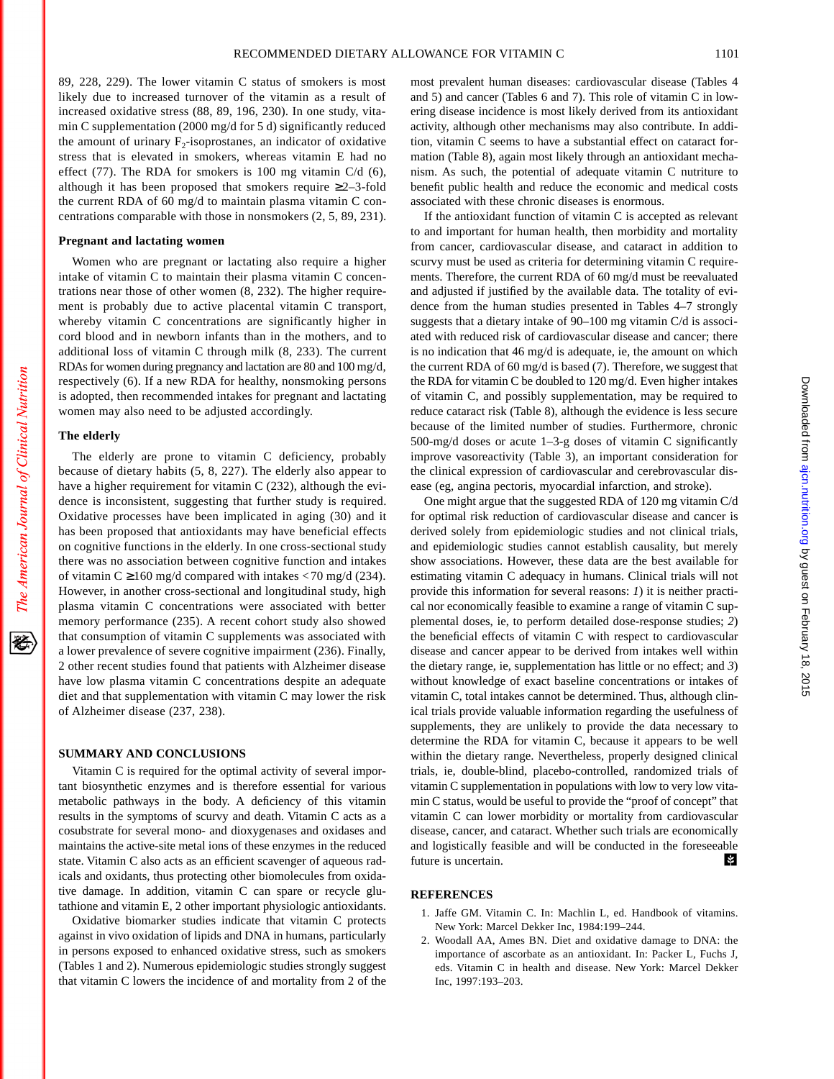89, 228, 229). The lower vitamin C status of smokers is most likely due to increased turnover of the vitamin as a result of increased oxidative stress (88, 89, 196, 230). In one study, vitamin C supplementation (2000 mg/d for 5 d) significantly reduced the amount of urinary  $F_2$ -isoprostanes, an indicator of oxidative stress that is elevated in smokers, whereas vitamin E had no effect (77). The RDA for smokers is 100 mg vitamin C/d (6), although it has been proposed that smokers require  $\geq 2-3$ -fold the current RDA of 60 mg/d to maintain plasma vitamin C concentrations comparable with those in nonsmokers (2, 5, 89, 231).

# **Pregnant and lactating women**

Women who are pregnant or lactating also require a higher intake of vitamin C to maintain their plasma vitamin C concentrations near those of other women (8, 232). The higher requirement is probably due to active placental vitamin C transport, whereby vitamin C concentrations are significantly higher in cord blood and in newborn infants than in the mothers, and to additional loss of vitamin C through milk (8, 233). The current RDAs for women during pregnancy and lactation are 80 and 100 mg/d, respectively (6). If a new RDA for healthy, nonsmoking persons is adopted, then recommended intakes for pregnant and lactating women may also need to be adjusted accordingly.

# **The elderly**

The American Journal of Clinical Nutrition

袳

The elderly are prone to vitamin C deficiency, probably because of dietary habits (5, 8, 227). The elderly also appear to have a higher requirement for vitamin C (232), although the evidence is inconsistent, suggesting that further study is required. Oxidative processes have been implicated in aging (30) and it has been proposed that antioxidants may have beneficial effects on cognitive functions in the elderly. In one cross-sectional study there was no association between cognitive function and intakes of vitamin C  $\geq$  160 mg/d compared with intakes <70 mg/d (234). However, in another cross-sectional and longitudinal study, high plasma vitamin C concentrations were associated with better memory performance (235). A recent cohort study also showed that consumption of vitamin C supplements was associated with a lower prevalence of severe cognitive impairment (236). Finally, 2 other recent studies found that patients with Alzheimer disease have low plasma vitamin C concentrations despite an adequate diet and that supplementation with vitamin C may lower the risk of Alzheimer disease (237, 238).

### **SUMMARY AND CONCLUSIONS**

Vitamin C is required for the optimal activity of several important biosynthetic enzymes and is therefore essential for various metabolic pathways in the body. A deficiency of this vitamin results in the symptoms of scurvy and death. Vitamin C acts as a cosubstrate for several mono- and dioxygenases and oxidases and maintains the active-site metal ions of these enzymes in the reduced state. Vitamin C also acts as an efficient scavenger of aqueous radicals and oxidants, thus protecting other biomolecules from oxidative damage. In addition, vitamin C can spare or recycle glutathione and vitamin E, 2 other important physiologic antioxidants.

Oxidative biomarker studies indicate that vitamin C protects against in vivo oxidation of lipids and DNA in humans, particularly in persons exposed to enhanced oxidative stress, such as smokers (Tables 1 and 2). Numerous epidemiologic studies strongly suggest that vitamin C lowers the incidence of and mortality from 2 of the most prevalent human diseases: cardiovascular disease (Tables 4 and 5) and cancer (Tables 6 and 7). This role of vitamin C in lowering disease incidence is most likely derived from its antioxidant activity, although other mechanisms may also contribute. In addition, vitamin C seems to have a substantial effect on cataract formation (Table 8), again most likely through an antioxidant mechanism. As such, the potential of adequate vitamin C nutriture to benefit public health and reduce the economic and medical costs associated with these chronic diseases is enormous.

If the antioxidant function of vitamin C is accepted as relevant to and important for human health, then morbidity and mortality from cancer, cardiovascular disease, and cataract in addition to scurvy must be used as criteria for determining vitamin C requirements. Therefore, the current RDA of 60 mg/d must be reevaluated and adjusted if justified by the available data. The totality of evidence from the human studies presented in Tables 4–7 strongly suggests that a dietary intake of 90–100 mg vitamin C/d is associated with reduced risk of cardiovascular disease and cancer; there is no indication that 46 mg/d is adequate, ie, the amount on which the current RDA of 60 mg/d is based (7). Therefore, we suggest that the RDA for vitamin C be doubled to 120 mg/d. Even higher intakes of vitamin C, and possibly supplementation, may be required to reduce cataract risk (Table 8), although the evidence is less secure because of the limited number of studies. Furthermore, chronic 500-mg/d doses or acute 1–3-g doses of vitamin C significantly improve vasoreactivity (Table 3), an important consideration for the clinical expression of cardiovascular and cerebrovascular disease (eg, angina pectoris, myocardial infarction, and stroke).

One might argue that the suggested RDA of 120 mg vitamin C/d for optimal risk reduction of cardiovascular disease and cancer is derived solely from epidemiologic studies and not clinical trials, and epidemiologic studies cannot establish causality, but merely show associations. However, these data are the best available for estimating vitamin C adequacy in humans. Clinical trials will not provide this information for several reasons: *1*) it is neither practical nor economically feasible to examine a range of vitamin C supplemental doses, ie, to perform detailed dose-response studies; *2*) the beneficial effects of vitamin C with respect to cardiovascular disease and cancer appear to be derived from intakes well within the dietary range, ie, supplementation has little or no effect; and *3*) without knowledge of exact baseline concentrations or intakes of vitamin C, total intakes cannot be determined. Thus, although clinical trials provide valuable information regarding the usefulness of supplements, they are unlikely to provide the data necessary to determine the RDA for vitamin C, because it appears to be well within the dietary range. Nevertheless, properly designed clinical trials, ie, double-blind, placebo-controlled, randomized trials of vitamin C supplementation in populations with low to very low vitamin C status, would be useful to provide the "proof of concept" that vitamin C can lower morbidity or mortality from cardiovascular disease, cancer, and cataract. Whether such trials are economically and logistically feasible and will be conducted in the foreseeable 睾 future is uncertain.

#### **REFERENCES**

- 1. Jaffe GM. Vitamin C. In: Machlin L, ed. Handbook of vitamins. New York: Marcel Dekker Inc, 1984:199–244.
- 2. Woodall AA, Ames BN. Diet and oxidative damage to DNA: the importance of ascorbate as an antioxidant. In: Packer L, Fuchs J, eds. Vitamin C in health and disease. New York: Marcel Dekker Inc, 1997:193–203.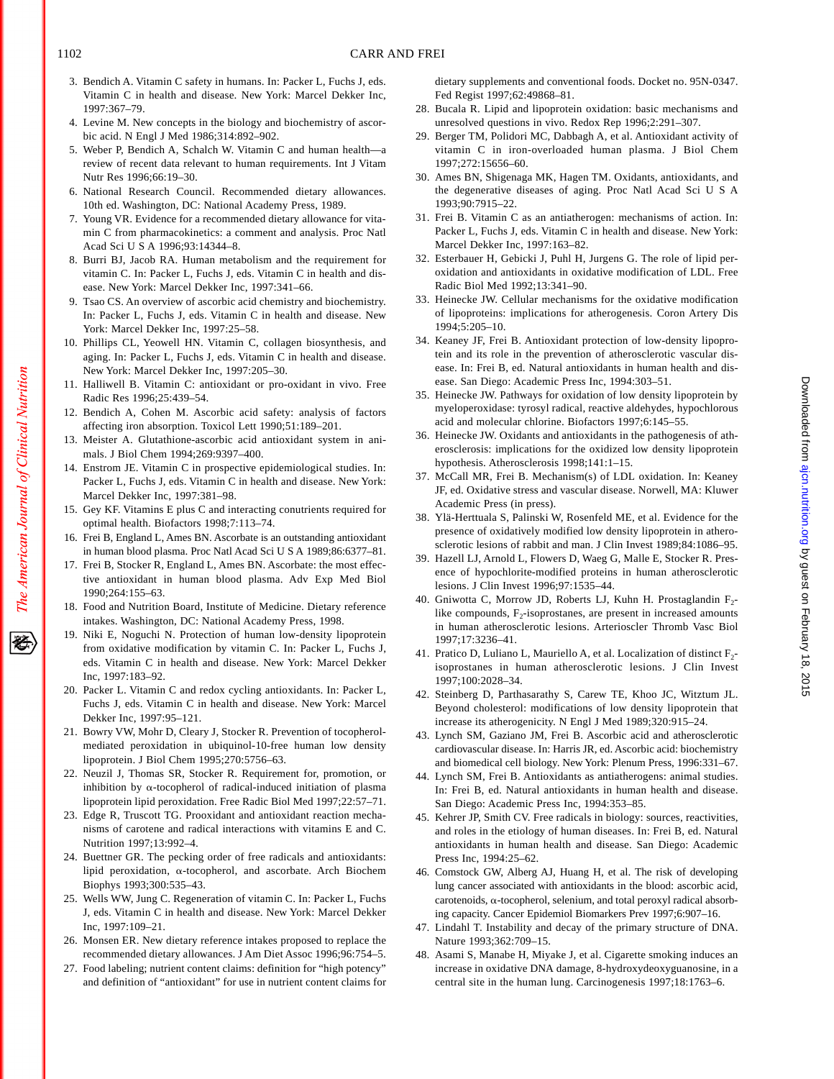- 3. Bendich A. Vitamin C safety in humans. In: Packer L, Fuchs J, eds. Vitamin C in health and disease. New York: Marcel Dekker Inc, 1997:367–79.
- 4. Levine M. New concepts in the biology and biochemistry of ascorbic acid. N Engl J Med 1986;314:892–902.
- 5. Weber P, Bendich A, Schalch W. Vitamin C and human health—a review of recent data relevant to human requirements. Int J Vitam Nutr Res 1996;66:19–30.
- 6. National Research Council. Recommended dietary allowances. 10th ed. Washington, DC: National Academy Press, 1989.
- 7. Young VR. Evidence for a recommended dietary allowance for vitamin C from pharmacokinetics: a comment and analysis. Proc Natl Acad Sci U S A 1996;93:14344–8.
- 8. Burri BJ, Jacob RA. Human metabolism and the requirement for vitamin C. In: Packer L, Fuchs J, eds. Vitamin C in health and disease. New York: Marcel Dekker Inc, 1997:341–66.
- 9. Tsao CS. An overview of ascorbic acid chemistry and biochemistry. In: Packer L, Fuchs J, eds. Vitamin C in health and disease. New York: Marcel Dekker Inc, 1997:25–58.
- 10. Phillips CL, Yeowell HN. Vitamin C, collagen biosynthesis, and aging. In: Packer L, Fuchs J, eds. Vitamin C in health and disease. New York: Marcel Dekker Inc, 1997:205–30.
- 11. Halliwell B. Vitamin C: antioxidant or pro-oxidant in vivo. Free Radic Res 1996;25:439–54.
- 12. Bendich A, Cohen M. Ascorbic acid safety: analysis of factors affecting iron absorption. Toxicol Lett 1990;51:189–201.
- 13. Meister A. Glutathione-ascorbic acid antioxidant system in animals. J Biol Chem 1994;269:9397–400.
- 14. Enstrom JE. Vitamin C in prospective epidemiological studies. In: Packer L, Fuchs J, eds. Vitamin C in health and disease. New York: Marcel Dekker Inc, 1997:381–98.
- 15. Gey KF. Vitamins E plus C and interacting conutrients required for optimal health. Biofactors 1998;7:113–74.
- 16. Frei B, England L, Ames BN. Ascorbate is an outstanding antioxidant in human blood plasma. Proc Natl Acad Sci U S A 1989;86:6377–81.
- 17. Frei B, Stocker R, England L, Ames BN. Ascorbate: the most effective antioxidant in human blood plasma. Adv Exp Med Biol 1990;264:155–63.
- 18. Food and Nutrition Board, Institute of Medicine. Dietary reference intakes. Washington, DC: National Academy Press, 1998.
- 19. Niki E, Noguchi N. Protection of human low-density lipoprotein from oxidative modification by vitamin C. In: Packer L, Fuchs J, eds. Vitamin C in health and disease. New York: Marcel Dekker Inc, 1997:183–92.
- 20. Packer L. Vitamin C and redox cycling antioxidants. In: Packer L, Fuchs J, eds. Vitamin C in health and disease. New York: Marcel Dekker Inc, 1997:95–121.
- 21. Bowry VW, Mohr D, Cleary J, Stocker R. Prevention of tocopherolmediated peroxidation in ubiquinol-10-free human low density lipoprotein. J Biol Chem 1995;270:5756–63.
- 22. Neuzil J, Thomas SR, Stocker R. Requirement for, promotion, or inhibition by  $\alpha$ -tocopherol of radical-induced initiation of plasma lipoprotein lipid peroxidation. Free Radic Biol Med 1997;22:57–71.
- 23. Edge R, Truscott TG. Prooxidant and antioxidant reaction mechanisms of carotene and radical interactions with vitamins E and C. Nutrition 1997;13:992–4.
- 24. Buettner GR. The pecking order of free radicals and antioxidants: lipid peroxidation, a-tocopherol, and ascorbate. Arch Biochem Biophys 1993;300:535–43.
- 25. Wells WW, Jung C. Regeneration of vitamin C. In: Packer L, Fuchs J, eds. Vitamin C in health and disease. New York: Marcel Dekker Inc, 1997:109–21.
- 26. Monsen ER. New dietary reference intakes proposed to replace the recommended dietary allowances. J Am Diet Assoc 1996;96:754–5.
- 27. Food labeling; nutrient content claims: definition for "high potency" and definition of "antioxidant" for use in nutrient content claims for

dietary supplements and conventional foods. Docket no. 95N-0347. Fed Regist 1997;62:49868–81.

- 28. Bucala R. Lipid and lipoprotein oxidation: basic mechanisms and unresolved questions in vivo. Redox Rep 1996;2:291–307.
- 29. Berger TM, Polidori MC, Dabbagh A, et al. Antioxidant activity of vitamin C in iron-overloaded human plasma. J Biol Chem 1997;272:15656–60.
- 30. Ames BN, Shigenaga MK, Hagen TM. Oxidants, antioxidants, and the degenerative diseases of aging. Proc Natl Acad Sci U S A 1993;90:7915–22.
- 31. Frei B. Vitamin C as an antiatherogen: mechanisms of action. In: Packer L, Fuchs J, eds. Vitamin C in health and disease. New York: Marcel Dekker Inc, 1997:163–82.
- 32. Esterbauer H, Gebicki J, Puhl H, Jurgens G. The role of lipid peroxidation and antioxidants in oxidative modification of LDL. Free Radic Biol Med 1992;13:341–90.
- 33. Heinecke JW. Cellular mechanisms for the oxidative modification of lipoproteins: implications for atherogenesis. Coron Artery Dis 1994;5:205–10.
- 34. Keaney JF, Frei B. Antioxidant protection of low-density lipoprotein and its role in the prevention of atherosclerotic vascular disease. In: Frei B, ed. Natural antioxidants in human health and disease. San Diego: Academic Press Inc, 1994:303–51.
- 35. Heinecke JW. Pathways for oxidation of low density lipoprotein by myeloperoxidase: tyrosyl radical, reactive aldehydes, hypochlorous acid and molecular chlorine. Biofactors 1997;6:145–55.
- 36. Heinecke JW. Oxidants and antioxidants in the pathogenesis of atherosclerosis: implications for the oxidized low density lipoprotein hypothesis. Atherosclerosis 1998;141:1–15.
- 37. McCall MR, Frei B. Mechanism(s) of LDL oxidation. In: Keaney JF, ed. Oxidative stress and vascular disease. Norwell, MA: Kluwer Academic Press (in press).
- 38. Ylä-Herttuala S, Palinski W, Rosenfeld ME, et al. Evidence for the presence of oxidatively modified low density lipoprotein in atherosclerotic lesions of rabbit and man. J Clin Invest 1989;84:1086–95.
- 39. Hazell LJ, Arnold L, Flowers D, Waeg G, Malle E, Stocker R. Presence of hypochlorite-modified proteins in human atherosclerotic lesions. J Clin Invest 1996;97:1535–44.
- 40. Gniwotta C, Morrow JD, Roberts LJ, Kuhn H. Prostaglandin F<sub>2</sub>like compounds,  $F_2$ -isoprostanes, are present in increased amounts in human atherosclerotic lesions. Arterioscler Thromb Vasc Biol 1997;17:3236–41.
- 41. Pratico D, Luliano L, Mauriello A, et al. Localization of distinct F<sub>2</sub>isoprostanes in human atherosclerotic lesions. J Clin Invest 1997;100:2028–34.
- 42. Steinberg D, Parthasarathy S, Carew TE, Khoo JC, Witztum JL. Beyond cholesterol: modifications of low density lipoprotein that increase its atherogenicity. N Engl J Med 1989;320:915–24.
- 43. Lynch SM, Gaziano JM, Frei B. Ascorbic acid and atherosclerotic cardiovascular disease. In: Harris JR, ed. Ascorbic acid: biochemistry and biomedical cell biology. New York: Plenum Press, 1996:331–67.
- 44. Lynch SM, Frei B. Antioxidants as antiatherogens: animal studies. In: Frei B, ed. Natural antioxidants in human health and disease. San Diego: Academic Press Inc, 1994:353–85.
- 45. Kehrer JP, Smith CV. Free radicals in biology: sources, reactivities, and roles in the etiology of human diseases. In: Frei B, ed. Natural antioxidants in human health and disease. San Diego: Academic Press Inc, 1994:25–62.
- 46. Comstock GW, Alberg AJ, Huang H, et al. The risk of developing lung cancer associated with antioxidants in the blood: ascorbic acid, carotenoids,  $\alpha$ -tocopherol, selenium, and total peroxyl radical absorbing capacity. Cancer Epidemiol Biomarkers Prev 1997;6:907–16.
- 47. Lindahl T. Instability and decay of the primary structure of DNA. Nature 1993;362:709–15.
- 48. Asami S, Manabe H, Miyake J, et al. Cigarette smoking induces an increase in oxidative DNA damage, 8-hydroxydeoxyguanosine, in a central site in the human lung. Carcinogenesis 1997;18:1763–6.

Downloaded from [ajcn.nutrition.org](http://ajcn.nutrition.org/) by guest on February 18, 2015

Downloaded from ajon nutrition org by guest on February 18, 2015

The American Journal of Clinical Nutrition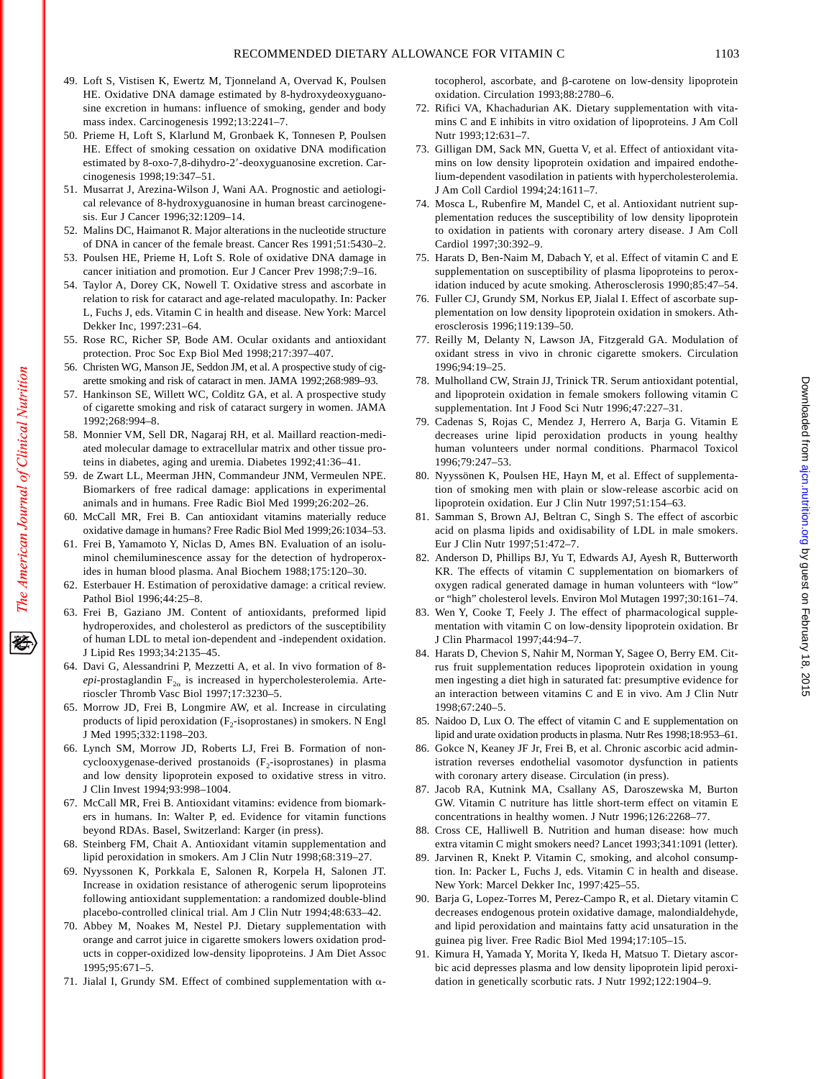- 49. Loft S, Vistisen K, Ewertz M, Tjonneland A, Overvad K, Poulsen HE. Oxidative DNA damage estimated by 8-hydroxydeoxyguanosine excretion in humans: influence of smoking, gender and body mass index. Carcinogenesis 1992;13:2241–7.
- 50. Prieme H, Loft S, Klarlund M, Gronbaek K, Tonnesen P, Poulsen HE. Effect of smoking cessation on oxidative DNA modification estimated by 8-oxo-7,8-dihydro-2'-deoxyguanosine excretion. Carcinogenesis 1998;19:347–51.
- 51. Musarrat J, Arezina-Wilson J, Wani AA. Prognostic and aetiological relevance of 8-hydroxyguanosine in human breast carcinogenesis. Eur J Cancer 1996;32:1209–14.
- 52. Malins DC, Haimanot R. Major alterations in the nucleotide structure of DNA in cancer of the female breast. Cancer Res 1991;51:5430–2.
- 53. Poulsen HE, Prieme H, Loft S. Role of oxidative DNA damage in cancer initiation and promotion. Eur J Cancer Prev 1998;7:9–16.
- 54. Taylor A, Dorey CK, Nowell T. Oxidative stress and ascorbate in relation to risk for cataract and age-related maculopathy. In: Packer L, Fuchs J, eds. Vitamin C in health and disease. New York: Marcel Dekker Inc, 1997:231–64.
- 55. Rose RC, Richer SP, Bode AM. Ocular oxidants and antioxidant protection. Proc Soc Exp Biol Med 1998;217:397–407.
- 56. Christen WG, Manson JE, Seddon JM, et al. A prospective study of cigarette smoking and risk of cataract in men. JAMA 1992;268:989–93.
- 57. Hankinson SE, Willett WC, Colditz GA, et al. A prospective study of cigarette smoking and risk of cataract surgery in women. JAMA 1992;268:994–8.
- 58. Monnier VM, Sell DR, Nagaraj RH, et al. Maillard reaction-mediated molecular damage to extracellular matrix and other tissue proteins in diabetes, aging and uremia. Diabetes 1992;41:36–41.
- 59. de Zwart LL, Meerman JHN, Commandeur JNM, Vermeulen NPE. Biomarkers of free radical damage: applications in experimental animals and in humans. Free Radic Biol Med 1999;26:202–26.
- 60. McCall MR, Frei B. Can antioxidant vitamins materially reduce oxidative damage in humans? Free Radic Biol Med 1999;26:1034–53.
- 61. Frei B, Yamamoto Y, Niclas D, Ames BN. Evaluation of an isoluminol chemiluminescence assay for the detection of hydroperoxides in human blood plasma. Anal Biochem 1988;175:120–30.
- 62. Esterbauer H. Estimation of peroxidative damage: a critical review. Pathol Biol 1996;44:25–8.
- 63. Frei B, Gaziano JM. Content of antioxidants, preformed lipid hydroperoxides, and cholesterol as predictors of the susceptibility of human LDL to metal ion-dependent and -independent oxidation. J Lipid Res 1993;34:2135–45.
- 64. Davi G, Alessandrini P, Mezzetti A, et al. In vivo formation of 8  $epi$ -prostaglandin  $F_{2\alpha}$  is increased in hypercholesterolemia. Arterioscler Thromb Vasc Biol 1997;17:3230–5.
- 65. Morrow JD, Frei B, Longmire AW, et al. Increase in circulating products of lipid peroxidation  $(F_2$ -isoprostanes) in smokers. N Engl J Med 1995;332:1198–203.
- 66. Lynch SM, Morrow JD, Roberts LJ, Frei B. Formation of noncyclooxygenase-derived prostanoids  $(F_2$ -isoprostanes) in plasma and low density lipoprotein exposed to oxidative stress in vitro. J Clin Invest 1994;93:998–1004.
- 67. McCall MR, Frei B. Antioxidant vitamins: evidence from biomarkers in humans. In: Walter P, ed. Evidence for vitamin functions beyond RDAs. Basel, Switzerland: Karger (in press).
- 68. Steinberg FM, Chait A. Antioxidant vitamin supplementation and lipid peroxidation in smokers. Am J Clin Nutr 1998;68:319–27.
- 69. Nyyssonen K, Porkkala E, Salonen R, Korpela H, Salonen JT. Increase in oxidation resistance of atherogenic serum lipoproteins following antioxidant supplementation: a randomized double-blind placebo-controlled clinical trial. Am J Clin Nutr 1994;48:633–42.
- 70. Abbey M, Noakes M, Nestel PJ. Dietary supplementation with orange and carrot juice in cigarette smokers lowers oxidation products in copper-oxidized low-density lipoproteins. J Am Diet Assoc 1995;95:671–5.
- 71. Jialal I, Grundy SM. Effect of combined supplementation with  $\alpha$ -

tocopherol, ascorbate, and  $\beta$ -carotene on low-density lipoprotein oxidation. Circulation 1993;88:2780–6.

- 72. Rifici VA, Khachadurian AK. Dietary supplementation with vitamins C and E inhibits in vitro oxidation of lipoproteins. J Am Coll Nutr 1993;12:631–7.
- 73. Gilligan DM, Sack MN, Guetta V, et al. Effect of antioxidant vitamins on low density lipoprotein oxidation and impaired endothelium-dependent vasodilation in patients with hypercholesterolemia. J Am Coll Cardiol 1994;24:1611–7.
- 74. Mosca L, Rubenfire M, Mandel C, et al. Antioxidant nutrient supplementation reduces the susceptibility of low density lipoprotein to oxidation in patients with coronary artery disease. J Am Coll Cardiol 1997;30:392–9.
- 75. Harats D, Ben-Naim M, Dabach Y, et al. Effect of vitamin C and E supplementation on susceptibility of plasma lipoproteins to peroxidation induced by acute smoking. Atherosclerosis 1990;85:47–54.
- 76. Fuller CJ, Grundy SM, Norkus EP, Jialal I. Effect of ascorbate supplementation on low density lipoprotein oxidation in smokers. Atherosclerosis 1996;119:139–50.
- 77. Reilly M, Delanty N, Lawson JA, Fitzgerald GA. Modulation of oxidant stress in vivo in chronic cigarette smokers. Circulation 1996;94:19–25.
- 78. Mulholland CW, Strain JJ, Trinick TR. Serum antioxidant potential, and lipoprotein oxidation in female smokers following vitamin C supplementation. Int J Food Sci Nutr 1996;47:227–31.
- 79. Cadenas S, Rojas C, Mendez J, Herrero A, Barja G. Vitamin E decreases urine lipid peroxidation products in young healthy human volunteers under normal conditions. Pharmacol Toxicol 1996;79:247–53.
- 80. Nyyssönen K, Poulsen HE, Hayn M, et al. Effect of supplementation of smoking men with plain or slow-release ascorbic acid on lipoprotein oxidation. Eur J Clin Nutr 1997;51:154–63.
- 81. Samman S, Brown AJ, Beltran C, Singh S. The effect of ascorbic acid on plasma lipids and oxidisability of LDL in male smokers. Eur J Clin Nutr 1997;51:472–7.
- 82. Anderson D, Phillips BJ, Yu T, Edwards AJ, Ayesh R, Butterworth KR. The effects of vitamin C supplementation on biomarkers of oxygen radical generated damage in human volunteers with "low" or "high" cholesterol levels. Environ Mol Mutagen 1997;30:161–74.
- 83. Wen Y, Cooke T, Feely J. The effect of pharmacological supplementation with vitamin C on low-density lipoprotein oxidation. Br J Clin Pharmacol 1997;44:94–7.
- 84. Harats D, Chevion S, Nahir M, Norman Y, Sagee O, Berry EM. Citrus fruit supplementation reduces lipoprotein oxidation in young men ingesting a diet high in saturated fat: presumptive evidence for an interaction between vitamins C and E in vivo. Am J Clin Nutr 1998;67:240–5.
- 85. Naidoo D, Lux O. The effect of vitamin C and E supplementation on lipid and urate oxidation products in plasma. Nutr Res 1998;18:953–61.
- 86. Gokce N, Keaney JF Jr, Frei B, et al. Chronic ascorbic acid administration reverses endothelial vasomotor dysfunction in patients with coronary artery disease. Circulation (in press).
- 87. Jacob RA, Kutnink MA, Csallany AS, Daroszewska M, Burton GW. Vitamin C nutriture has little short-term effect on vitamin E concentrations in healthy women. J Nutr 1996;126:2268–77.
- 88. Cross CE, Halliwell B. Nutrition and human disease: how much extra vitamin C might smokers need? Lancet 1993;341:1091 (letter).
- 89. Jarvinen R, Knekt P. Vitamin C, smoking, and alcohol consumption. In: Packer L, Fuchs J, eds. Vitamin C in health and disease. New York: Marcel Dekker Inc, 1997:425–55.
- 90. Barja G, Lopez-Torres M, Perez-Campo R, et al. Dietary vitamin C decreases endogenous protein oxidative damage, malondialdehyde, and lipid peroxidation and maintains fatty acid unsaturation in the guinea pig liver. Free Radic Biol Med 1994;17:105–15.
- 91. Kimura H, Yamada Y, Morita Y, Ikeda H, Matsuo T. Dietary ascorbic acid depresses plasma and low density lipoprotein lipid peroxidation in genetically scorbutic rats. J Nutr 1992;122:1904–9.

Downloaded from [ajcn.nutrition.org](http://ajcn.nutrition.org/) by guest on February 18, 2015

Downloaded from ajon nutrition org by guest on February 18, 2015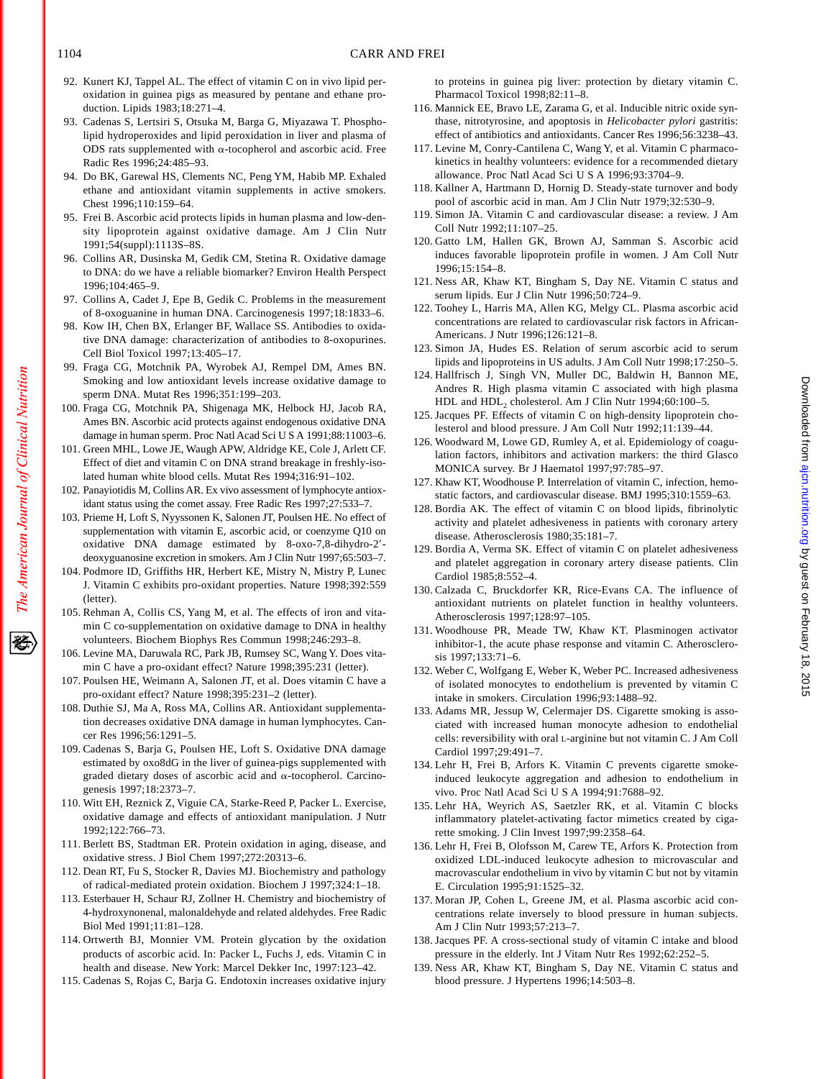- 92. Kunert KJ, Tappel AL. The effect of vitamin C on in vivo lipid peroxidation in guinea pigs as measured by pentane and ethane production. Lipids 1983;18:271–4.
- 93. Cadenas S, Lertsiri S, Otsuka M, Barga G, Miyazawa T. Phospholipid hydroperoxides and lipid peroxidation in liver and plasma of ODS rats supplemented with  $\alpha$ -tocopherol and ascorbic acid. Free Radic Res 1996;24:485–93.
- 94. Do BK, Garewal HS, Clements NC, Peng YM, Habib MP. Exhaled ethane and antioxidant vitamin supplements in active smokers. Chest 1996;110:159–64.
- 95. Frei B. Ascorbic acid protects lipids in human plasma and low-density lipoprotein against oxidative damage. Am J Clin Nutr 1991;54(suppl):1113S–8S.
- 96. Collins AR, Dusinska M, Gedik CM, Stetina R. Oxidative damage to DNA: do we have a reliable biomarker? Environ Health Perspect 1996;104:465–9.
- 97. Collins A, Cadet J, Epe B, Gedik C. Problems in the measurement of 8-oxoguanine in human DNA. Carcinogenesis 1997;18:1833–6.
- 98. Kow IH, Chen BX, Erlanger BF, Wallace SS. Antibodies to oxidative DNA damage: characterization of antibodies to 8-oxopurines. Cell Biol Toxicol 1997;13:405–17.
- 99. Fraga CG, Motchnik PA, Wyrobek AJ, Rempel DM, Ames BN. Smoking and low antioxidant levels increase oxidative damage to sperm DNA. Mutat Res 1996;351:199–203.
- 100. Fraga CG, Motchnik PA, Shigenaga MK, Helbock HJ, Jacob RA, Ames BN. Ascorbic acid protects against endogenous oxidative DNA damage in human sperm. Proc Natl Acad Sci U S A 1991;88:11003–6.
- 101. Green MHL, Lowe JE, Waugh APW, Aldridge KE, Cole J, Arlett CF. Effect of diet and vitamin C on DNA strand breakage in freshly-isolated human white blood cells. Mutat Res 1994;316:91–102.
- 102. Panayiotidis M, Collins AR. Ex vivo assessment of lymphocyte antioxidant status using the comet assay. Free Radic Res 1997;27:533–7.
- 103. Prieme H, Loft S, Nyyssonen K, Salonen JT, Poulsen HE. No effect of supplementation with vitamin E, ascorbic acid, or coenzyme Q10 on oxidative DNA damage estimated by 8-oxo-7,8-dihydro-2'deoxyguanosine excretion in smokers. Am J Clin Nutr 1997;65:503–7.
- 104. Podmore ID, Griffiths HR, Herbert KE, Mistry N, Mistry P, Lunec J. Vitamin C exhibits pro-oxidant properties. Nature 1998;392:559 (letter).
- 105. Rehman A, Collis CS, Yang M, et al. The effects of iron and vitamin C co-supplementation on oxidative damage to DNA in healthy volunteers. Biochem Biophys Res Commun 1998;246:293–8.
- 106. Levine MA, Daruwala RC, Park JB, Rumsey SC, Wang Y. Does vitamin C have a pro-oxidant effect? Nature 1998;395:231 (letter).
- 107. Poulsen HE, Weimann A, Salonen JT, et al. Does vitamin C have a pro-oxidant effect? Nature 1998;395:231–2 (letter).
- 108. Duthie SJ, Ma A, Ross MA, Collins AR. Antioxidant supplementation decreases oxidative DNA damage in human lymphocytes. Cancer Res 1996;56:1291–5.
- 109. Cadenas S, Barja G, Poulsen HE, Loft S. Oxidative DNA damage estimated by oxo8dG in the liver of guinea-pigs supplemented with graded dietary doses of ascorbic acid and  $\alpha$ -tocopherol. Carcinogenesis 1997;18:2373–7.
- 110. Witt EH, Reznick Z, Viguie CA, Starke-Reed P, Packer L. Exercise, oxidative damage and effects of antioxidant manipulation. J Nutr 1992;122:766–73.
- 111. Berlett BS, Stadtman ER. Protein oxidation in aging, disease, and oxidative stress. J Biol Chem 1997;272:20313–6.
- 112. Dean RT, Fu S, Stocker R, Davies MJ. Biochemistry and pathology of radical-mediated protein oxidation. Biochem J 1997;324:1–18.
- 113. Esterbauer H, Schaur RJ, Zollner H. Chemistry and biochemistry of 4-hydroxynonenal, malonaldehyde and related aldehydes. Free Radic Biol Med 1991;11:81–128.
- 114. Ortwerth BJ, Monnier VM. Protein glycation by the oxidation products of ascorbic acid. In: Packer L, Fuchs J, eds. Vitamin C in health and disease. New York: Marcel Dekker Inc, 1997:123–42.
- 115. Cadenas S, Rojas C, Barja G. Endotoxin increases oxidative injury

to proteins in guinea pig liver: protection by dietary vitamin C. Pharmacol Toxicol 1998;82:11–8.

- 116. Mannick EE, Bravo LE, Zarama G, et al. Inducible nitric oxide synthase, nitrotyrosine, and apoptosis in *Helicobacter pylori* gastritis: effect of antibiotics and antioxidants. Cancer Res 1996;56:3238–43.
- 117. Levine M, Conry-Cantilena C, Wang Y, et al. Vitamin C pharmacokinetics in healthy volunteers: evidence for a recommended dietary allowance. Proc Natl Acad Sci U S A 1996;93:3704–9.
- 118. Kallner A, Hartmann D, Hornig D. Steady-state turnover and body pool of ascorbic acid in man. Am J Clin Nutr 1979;32:530–9.
- 119. Simon JA. Vitamin C and cardiovascular disease: a review. J Am Coll Nutr 1992;11:107–25.
- 120. Gatto LM, Hallen GK, Brown AJ, Samman S. Ascorbic acid induces favorable lipoprotein profile in women. J Am Coll Nutr 1996;15:154–8.
- 121. Ness AR, Khaw KT, Bingham S, Day NE. Vitamin C status and serum lipids. Eur J Clin Nutr 1996;50:724–9.
- 122. Toohey L, Harris MA, Allen KG, Melgy CL. Plasma ascorbic acid concentrations are related to cardiovascular risk factors in African-Americans. J Nutr 1996;126:121–8.
- 123. Simon JA, Hudes ES. Relation of serum ascorbic acid to serum lipids and lipoproteins in US adults. J Am Coll Nutr 1998;17:250–5.
- 124. Hallfrisch J, Singh VN, Muller DC, Baldwin H, Bannon ME, Andres R. High plasma vitamin C associated with high plasma HDL and HDL<sub>2</sub> cholesterol. Am J Clin Nutr 1994;60:100-5.
- 125. Jacques PF. Effects of vitamin C on high-density lipoprotein cholesterol and blood pressure. J Am Coll Nutr 1992;11:139–44.
- 126. Woodward M, Lowe GD, Rumley A, et al. Epidemiology of coagulation factors, inhibitors and activation markers: the third Glasco MONICA survey. Br J Haematol 1997;97:785–97.
- 127. Khaw KT, Woodhouse P. Interrelation of vitamin C, infection, hemostatic factors, and cardiovascular disease. BMJ 1995;310:1559–63.
- 128. Bordia AK. The effect of vitamin C on blood lipids, fibrinolytic activity and platelet adhesiveness in patients with coronary artery disease. Atherosclerosis 1980;35:181–7.
- 129. Bordia A, Verma SK. Effect of vitamin C on platelet adhesiveness and platelet aggregation in coronary artery disease patients. Clin Cardiol 1985;8:552–4.
- 130. Calzada C, Bruckdorfer KR, Rice-Evans CA. The influence of antioxidant nutrients on platelet function in healthy volunteers. Atherosclerosis 1997;128:97–105.
- 131. Woodhouse PR, Meade TW, Khaw KT. Plasminogen activator inhibitor-1, the acute phase response and vitamin C. Atherosclerosis 1997;133:71–6.
- 132. Weber C, Wolfgang E, Weber K, Weber PC. Increased adhesiveness of isolated monocytes to endothelium is prevented by vitamin C intake in smokers. Circulation 1996;93:1488–92.
- 133. Adams MR, Jessup W, Celermajer DS. Cigarette smoking is associated with increased human monocyte adhesion to endothelial cells: reversibility with oral L-arginine but not vitamin C. J Am Coll Cardiol 1997;29:491–7.
- 134. Lehr H, Frei B, Arfors K. Vitamin C prevents cigarette smokeinduced leukocyte aggregation and adhesion to endothelium in vivo. Proc Natl Acad Sci U S A 1994;91:7688–92.
- 135. Lehr HA, Weyrich AS, Saetzler RK, et al. Vitamin C blocks inflammatory platelet-activating factor mimetics created by cigarette smoking. J Clin Invest 1997;99:2358–64.
- 136. Lehr H, Frei B, Olofsson M, Carew TE, Arfors K. Protection from oxidized LDL-induced leukocyte adhesion to microvascular and macrovascular endothelium in vivo by vitamin C but not by vitamin E. Circulation 1995;91:1525–32.
- 137. Moran JP, Cohen L, Greene JM, et al. Plasma ascorbic acid concentrations relate inversely to blood pressure in human subjects. Am J Clin Nutr 1993;57:213–7.
- 138. Jacques PF. A cross-sectional study of vitamin C intake and blood pressure in the elderly. Int J Vitam Nutr Res 1992;62:252–5.
- 139. Ness AR, Khaw KT, Bingham S, Day NE. Vitamin C status and blood pressure. J Hypertens 1996;14:503–8.

The American Journal of Clinical Nutrition

移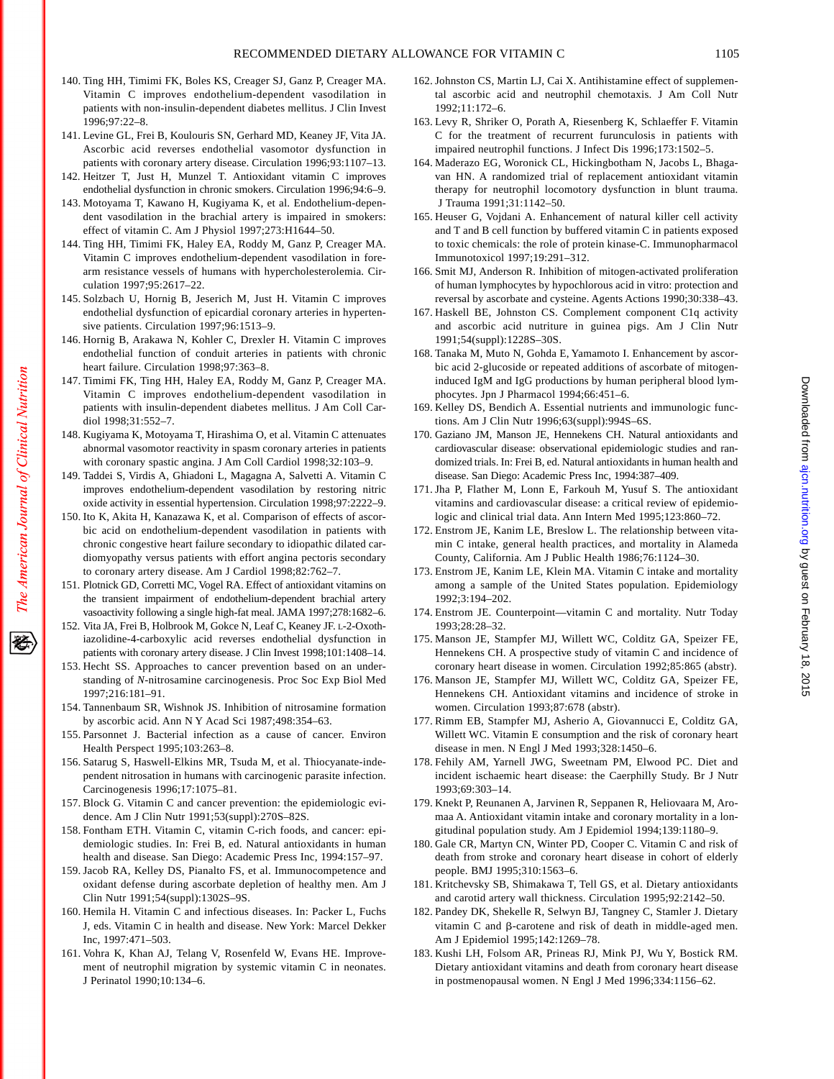- 140. Ting HH, Timimi FK, Boles KS, Creager SJ, Ganz P, Creager MA. Vitamin C improves endothelium-dependent vasodilation in patients with non-insulin-dependent diabetes mellitus. J Clin Invest 1996;97:22–8.
- 141. Levine GL, Frei B, Koulouris SN, Gerhard MD, Keaney JF, Vita JA. Ascorbic acid reverses endothelial vasomotor dysfunction in patients with coronary artery disease. Circulation 1996;93:1107–13.
- 142. Heitzer T, Just H, Munzel T. Antioxidant vitamin C improves endothelial dysfunction in chronic smokers. Circulation 1996;94:6–9.
- 143. Motoyama T, Kawano H, Kugiyama K, et al. Endothelium-dependent vasodilation in the brachial artery is impaired in smokers: effect of vitamin C. Am J Physiol 1997;273:H1644–50.
- 144. Ting HH, Timimi FK, Haley EA, Roddy M, Ganz P, Creager MA. Vitamin C improves endothelium-dependent vasodilation in forearm resistance vessels of humans with hypercholesterolemia. Circulation 1997;95:2617–22.
- 145. Solzbach U, Hornig B, Jeserich M, Just H. Vitamin C improves endothelial dysfunction of epicardial coronary arteries in hypertensive patients. Circulation 1997;96:1513–9.
- 146. Hornig B, Arakawa N, Kohler C, Drexler H. Vitamin C improves endothelial function of conduit arteries in patients with chronic heart failure. Circulation 1998;97:363-8.
- 147. Timimi FK, Ting HH, Haley EA, Roddy M, Ganz P, Creager MA. Vitamin C improves endothelium-dependent vasodilation in patients with insulin-dependent diabetes mellitus. J Am Coll Cardiol 1998;31:552–7.
- 148. Kugiyama K, Motoyama T, Hirashima O, et al. Vitamin C attenuates abnormal vasomotor reactivity in spasm coronary arteries in patients with coronary spastic angina. J Am Coll Cardiol 1998;32:103–9.
- 149. Taddei S, Virdis A, Ghiadoni L, Magagna A, Salvetti A. Vitamin C improves endothelium-dependent vasodilation by restoring nitric oxide activity in essential hypertension. Circulation 1998;97:2222–9.
- 150. Ito K, Akita H, Kanazawa K, et al. Comparison of effects of ascorbic acid on endothelium-dependent vasodilation in patients with chronic congestive heart failure secondary to idiopathic dilated cardiomyopathy versus patients with effort angina pectoris secondary to coronary artery disease. Am J Cardiol 1998;82:762–7.
- 151. Plotnick GD, Corretti MC, Vogel RA. Effect of antioxidant vitamins on the transient impairment of endothelium-dependent brachial artery vasoactivity following a single high-fat meal. JAMA 1997;278:1682–6.
- 152. Vita JA, Frei B, Holbrook M, Gokce N, Leaf C, Keaney JF. L-2-Oxothiazolidine-4-carboxylic acid reverses endothelial dysfunction in patients with coronary artery disease. J Clin Invest 1998;101:1408–14.
- 153. Hecht SS. Approaches to cancer prevention based on an understanding of *N*-nitrosamine carcinogenesis. Proc Soc Exp Biol Med 1997;216:181–91.
- 154. Tannenbaum SR, Wishnok JS. Inhibition of nitrosamine formation by ascorbic acid. Ann N Y Acad Sci 1987;498:354–63.
- 155. Parsonnet J. Bacterial infection as a cause of cancer. Environ Health Perspect 1995;103:263–8.
- 156. Satarug S, Haswell-Elkins MR, Tsuda M, et al. Thiocyanate-independent nitrosation in humans with carcinogenic parasite infection. Carcinogenesis 1996;17:1075–81.
- 157. Block G. Vitamin C and cancer prevention: the epidemiologic evidence. Am J Clin Nutr 1991;53(suppl):270S–82S.
- 158. Fontham ETH. Vitamin C, vitamin C-rich foods, and cancer: epidemiologic studies. In: Frei B, ed. Natural antioxidants in human health and disease. San Diego: Academic Press Inc, 1994:157–97.
- 159. Jacob RA, Kelley DS, Pianalto FS, et al. Immunocompetence and oxidant defense during ascorbate depletion of healthy men. Am J Clin Nutr 1991;54(suppl):1302S–9S.
- 160. Hemila H. Vitamin C and infectious diseases. In: Packer L, Fuchs J, eds. Vitamin C in health and disease. New York: Marcel Dekker Inc, 1997:471–503.
- 161. Vohra K, Khan AJ, Telang V, Rosenfeld W, Evans HE. Improvement of neutrophil migration by systemic vitamin C in neonates. J Perinatol 1990;10:134–6.
- 162. Johnston CS, Martin LJ, Cai X. Antihistamine effect of supplemental ascorbic acid and neutrophil chemotaxis. J Am Coll Nutr 1992;11:172–6.
- 163. Levy R, Shriker O, Porath A, Riesenberg K, Schlaeffer F. Vitamin C for the treatment of recurrent furunculosis in patients with impaired neutrophil functions. J Infect Dis 1996;173:1502–5.
- 164. Maderazo EG, Woronick CL, Hickingbotham N, Jacobs L, Bhagavan HN. A randomized trial of replacement antioxidant vitamin therapy for neutrophil locomotory dysfunction in blunt trauma. J Trauma 1991;31:1142–50.
- 165. Heuser G, Vojdani A. Enhancement of natural killer cell activity and T and B cell function by buffered vitamin C in patients exposed to toxic chemicals: the role of protein kinase-C. Immunopharmacol Immunotoxicol 1997;19:291–312.
- 166. Smit MJ, Anderson R. Inhibition of mitogen-activated proliferation of human lymphocytes by hypochlorous acid in vitro: protection and reversal by ascorbate and cysteine. Agents Actions 1990;30:338–43.
- 167. Haskell BE, Johnston CS. Complement component C1q activity and ascorbic acid nutriture in guinea pigs. Am J Clin Nutr 1991;54(suppl):1228S–30S.
- 168. Tanaka M, Muto N, Gohda E, Yamamoto I. Enhancement by ascorbic acid 2-glucoside or repeated additions of ascorbate of mitogeninduced IgM and IgG productions by human peripheral blood lymphocytes. Jpn J Pharmacol 1994;66:451–6.
- 169. Kelley DS, Bendich A. Essential nutrients and immunologic functions. Am J Clin Nutr 1996;63(suppl):994S–6S.
- 170. Gaziano JM, Manson JE, Hennekens CH. Natural antioxidants and cardiovascular disease: observational epidemiologic studies and randomized trials. In: Frei B, ed. Natural antioxidants in human health and disease. San Diego: Academic Press Inc, 1994:387–409.
- 171. Jha P, Flather M, Lonn E, Farkouh M, Yusuf S. The antioxidant vitamins and cardiovascular disease: a critical review of epidemiologic and clinical trial data. Ann Intern Med 1995;123:860–72.
- 172. Enstrom JE, Kanim LE, Breslow L. The relationship between vitamin C intake, general health practices, and mortality in Alameda County, California. Am J Public Health 1986;76:1124–30.
- 173. Enstrom JE, Kanim LE, Klein MA. Vitamin C intake and mortality among a sample of the United States population. Epidemiology 1992;3:194–202.
- 174. Enstrom JE. Counterpoint—vitamin C and mortality. Nutr Today 1993;28:28–32.
- 175. Manson JE, Stampfer MJ, Willett WC, Colditz GA, Speizer FE, Hennekens CH. A prospective study of vitamin C and incidence of coronary heart disease in women. Circulation 1992;85:865 (abstr).
- 176. Manson JE, Stampfer MJ, Willett WC, Colditz GA, Speizer FE, Hennekens CH. Antioxidant vitamins and incidence of stroke in women. Circulation 1993;87:678 (abstr).
- 177. Rimm EB, Stampfer MJ, Asherio A, Giovannucci E, Colditz GA, Willett WC. Vitamin E consumption and the risk of coronary heart disease in men. N Engl J Med 1993;328:1450–6.
- 178. Fehily AM, Yarnell JWG, Sweetnam PM, Elwood PC. Diet and incident ischaemic heart disease: the Caerphilly Study. Br J Nutr 1993;69:303–14.
- 179. Knekt P, Reunanen A, Jarvinen R, Seppanen R, Heliovaara M, Aromaa A. Antioxidant vitamin intake and coronary mortality in a longitudinal population study. Am J Epidemiol 1994;139:1180–9.
- 180. Gale CR, Martyn CN, Winter PD, Cooper C. Vitamin C and risk of death from stroke and coronary heart disease in cohort of elderly people. BMJ 1995;310:1563–6.
- 181. Kritchevsky SB, Shimakawa T, Tell GS, et al. Dietary antioxidants and carotid artery wall thickness. Circulation 1995;92:2142–50.
- 182. Pandey DK, Shekelle R, Selwyn BJ, Tangney C, Stamler J. Dietary vitamin C and  $\beta$ -carotene and risk of death in middle-aged men. Am J Epidemiol 1995;142:1269–78.
- 183. Kushi LH, Folsom AR, Prineas RJ, Mink PJ, Wu Y, Bostick RM. Dietary antioxidant vitamins and death from coronary heart disease in postmenopausal women. N Engl J Med 1996;334:1156–62.

Downloaded from [ajcn.nutrition.org](http://ajcn.nutrition.org/) by guest on February 18, 2015

Downloaded from ajon nutrition org by guest on February 18, 2015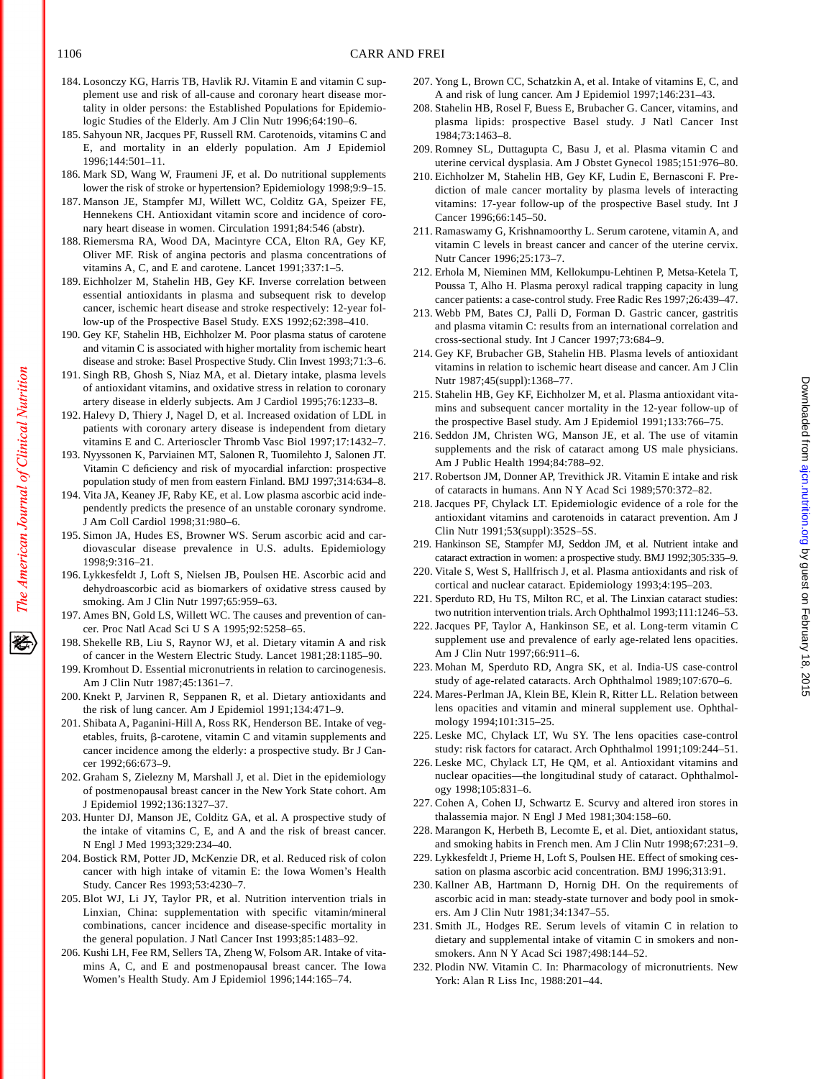- 1106 CARR AND FREI
- 184. Losonczy KG, Harris TB, Havlik RJ. Vitamin E and vitamin C supplement use and risk of all-cause and coronary heart disease mortality in older persons: the Established Populations for Epidemiologic Studies of the Elderly. Am J Clin Nutr 1996;64:190–6.
- 185. Sahyoun NR, Jacques PF, Russell RM. Carotenoids, vitamins C and E, and mortality in an elderly population. Am J Epidemiol 1996;144:501–11.
- 186. Mark SD, Wang W, Fraumeni JF, et al. Do nutritional supplements lower the risk of stroke or hypertension? Epidemiology 1998;9:9–15.
- 187. Manson JE, Stampfer MJ, Willett WC, Colditz GA, Speizer FE, Hennekens CH. Antioxidant vitamin score and incidence of coronary heart disease in women. Circulation 1991;84:546 (abstr).
- 188. Riemersma RA, Wood DA, Macintyre CCA, Elton RA, Gey KF, Oliver MF. Risk of angina pectoris and plasma concentrations of vitamins A, C, and E and carotene. Lancet 1991;337:1–5.
- 189. Eichholzer M, Stahelin HB, Gey KF. Inverse correlation between essential antioxidants in plasma and subsequent risk to develop cancer, ischemic heart disease and stroke respectively: 12-year follow-up of the Prospective Basel Study. EXS 1992;62:398–410.
- 190. Gey KF, Stahelin HB, Eichholzer M. Poor plasma status of carotene and vitamin C is associated with higher mortality from ischemic heart disease and stroke: Basel Prospective Study. Clin Invest 1993;71:3–6.
- 191. Singh RB, Ghosh S, Niaz MA, et al. Dietary intake, plasma levels of antioxidant vitamins, and oxidative stress in relation to coronary artery disease in elderly subjects. Am J Cardiol 1995;76:1233–8.
- 192. Halevy D, Thiery J, Nagel D, et al. Increased oxidation of LDL in patients with coronary artery disease is independent from dietary vitamins E and C. Arterioscler Thromb Vasc Biol 1997;17:1432–7.
- 193. Nyyssonen K, Parviainen MT, Salonen R, Tuomilehto J, Salonen JT. Vitamin C deficiency and risk of myocardial infarction: prospective population study of men from eastern Finland. BMJ 1997;314:634–8.
- 194. Vita JA, Keaney JF, Raby KE, et al. Low plasma ascorbic acid independently predicts the presence of an unstable coronary syndrome. J Am Coll Cardiol 1998;31:980–6.
- 195. Simon JA, Hudes ES, Browner WS. Serum ascorbic acid and cardiovascular disease prevalence in U.S. adults. Epidemiology 1998;9:316–21.
- 196. Lykkesfeldt J, Loft S, Nielsen JB, Poulsen HE. Ascorbic acid and dehydroascorbic acid as biomarkers of oxidative stress caused by smoking. Am J Clin Nutr 1997;65:959–63.
- 197. Ames BN, Gold LS, Willett WC. The causes and prevention of cancer. Proc Natl Acad Sci U S A 1995;92:5258–65.
- 198. Shekelle RB, Liu S, Raynor WJ, et al. Dietary vitamin A and risk of cancer in the Western Electric Study. Lancet 1981;28:1185–90.
- 199. Kromhout D. Essential micronutrients in relation to carcinogenesis. Am J Clin Nutr 1987;45:1361–7.
- 200. Knekt P, Jarvinen R, Seppanen R, et al. Dietary antioxidants and the risk of lung cancer. Am J Epidemiol 1991;134:471–9.
- 201. Shibata A, Paganini-Hill A, Ross RK, Henderson BE. Intake of vegetables, fruits,  $\beta$ -carotene, vitamin C and vitamin supplements and cancer incidence among the elderly: a prospective study. Br J Cancer 1992;66:673–9.
- 202. Graham S, Zielezny M, Marshall J, et al. Diet in the epidemiology of postmenopausal breast cancer in the New York State cohort. Am J Epidemiol 1992;136:1327–37.
- 203. Hunter DJ, Manson JE, Colditz GA, et al. A prospective study of the intake of vitamins C, E, and A and the risk of breast cancer. N Engl J Med 1993;329:234–40.
- 204. Bostick RM, Potter JD, McKenzie DR, et al. Reduced risk of colon cancer with high intake of vitamin E: the Iowa Women's Health Study. Cancer Res 1993;53:4230–7.
- 205. Blot WJ, Li JY, Taylor PR, et al. Nutrition intervention trials in Linxian, China: supplementation with specific vitamin/mineral combinations, cancer incidence and disease-specific mortality in the general population. J Natl Cancer Inst 1993;85:1483–92.
- 206. Kushi LH, Fee RM, Sellers TA, Zheng W, Folsom AR. Intake of vitamins A, C, and E and postmenopausal breast cancer. The Iowa Women's Health Study. Am J Epidemiol 1996;144:165–74.
- 207. Yong L, Brown CC, Schatzkin A, et al. Intake of vitamins E, C, and A and risk of lung cancer. Am J Epidemiol 1997;146:231–43.
- 208. Stahelin HB, Rosel F, Buess E, Brubacher G. Cancer, vitamins, and plasma lipids: prospective Basel study. J Natl Cancer Inst 1984;73:1463–8.
- 209. Romney SL, Duttagupta C, Basu J, et al. Plasma vitamin C and uterine cervical dysplasia. Am J Obstet Gynecol 1985;151:976–80.
- 210. Eichholzer M, Stahelin HB, Gey KF, Ludin E, Bernasconi F. Prediction of male cancer mortality by plasma levels of interacting vitamins: 17-year follow-up of the prospective Basel study. Int J Cancer 1996;66:145–50.
- 211. Ramaswamy G, Krishnamoorthy L. Serum carotene, vitamin A, and vitamin C levels in breast cancer and cancer of the uterine cervix. Nutr Cancer 1996;25:173–7.
- 212. Erhola M, Nieminen MM, Kellokumpu-Lehtinen P, Metsa-Ketela T, Poussa T, Alho H. Plasma peroxyl radical trapping capacity in lung cancer patients: a case-control study. Free Radic Res 1997;26:439–47.
- 213. Webb PM, Bates CJ, Palli D, Forman D. Gastric cancer, gastritis and plasma vitamin C: results from an international correlation and cross-sectional study. Int J Cancer 1997;73:684–9.
- 214. Gey KF, Brubacher GB, Stahelin HB. Plasma levels of antioxidant vitamins in relation to ischemic heart disease and cancer. Am J Clin Nutr 1987;45(suppl):1368–77.
- 215. Stahelin HB, Gey KF, Eichholzer M, et al. Plasma antioxidant vitamins and subsequent cancer mortality in the 12-year follow-up of the prospective Basel study. Am J Epidemiol 1991;133:766–75.
- 216. Seddon JM, Christen WG, Manson JE, et al. The use of vitamin supplements and the risk of cataract among US male physicians. Am J Public Health 1994;84:788–92.
- 217. Robertson JM, Donner AP, Trevithick JR. Vitamin E intake and risk of cataracts in humans. Ann N Y Acad Sci 1989;570:372–82.
- 218. Jacques PF, Chylack LT. Epidemiologic evidence of a role for the antioxidant vitamins and carotenoids in cataract prevention. Am J Clin Nutr 1991;53(suppl):352S–5S.
- 219. Hankinson SE, Stampfer MJ, Seddon JM, et al. Nutrient intake and cataract extraction in women: a prospective study. BMJ 1992;305:335–9.
- 220. Vitale S, West S, Hallfrisch J, et al. Plasma antioxidants and risk of cortical and nuclear cataract. Epidemiology 1993;4:195–203.
- 221. Sperduto RD, Hu TS, Milton RC, et al. The Linxian cataract studies: two nutrition intervention trials. Arch Ophthalmol 1993;111:1246–53.
- 222. Jacques PF, Taylor A, Hankinson SE, et al. Long-term vitamin C supplement use and prevalence of early age-related lens opacities. Am J Clin Nutr 1997;66:911–6.
- 223. Mohan M, Sperduto RD, Angra SK, et al. India-US case-control study of age-related cataracts. Arch Ophthalmol 1989;107:670–6.
- 224. Mares-Perlman JA, Klein BE, Klein R, Ritter LL. Relation between lens opacities and vitamin and mineral supplement use. Ophthalmology 1994;101:315–25.
- 225. Leske MC, Chylack LT, Wu SY. The lens opacities case-control study: risk factors for cataract. Arch Ophthalmol 1991;109:244–51.
- 226. Leske MC, Chylack LT, He QM, et al. Antioxidant vitamins and nuclear opacities—the longitudinal study of cataract. Ophthalmology 1998;105:831–6.
- 227. Cohen A, Cohen IJ, Schwartz E. Scurvy and altered iron stores in thalassemia major. N Engl J Med 1981;304:158–60.
- 228. Marangon K, Herbeth B, Lecomte E, et al. Diet, antioxidant status, and smoking habits in French men. Am J Clin Nutr 1998;67:231–9.
- 229. Lykkesfeldt J, Prieme H, Loft S, Poulsen HE. Effect of smoking cessation on plasma ascorbic acid concentration. BMJ 1996;313:91.
- 230. Kallner AB, Hartmann D, Hornig DH. On the requirements of ascorbic acid in man: steady-state turnover and body pool in smokers. Am J Clin Nutr 1981;34:1347–55.
- 231. Smith JL, Hodges RE. Serum levels of vitamin C in relation to dietary and supplemental intake of vitamin C in smokers and nonsmokers. Ann N Y Acad Sci 1987;498:144–52.
- 232. Plodin NW. Vitamin C. In: Pharmacology of micronutrients. New York: Alan R Liss Inc, 1988:201–44.